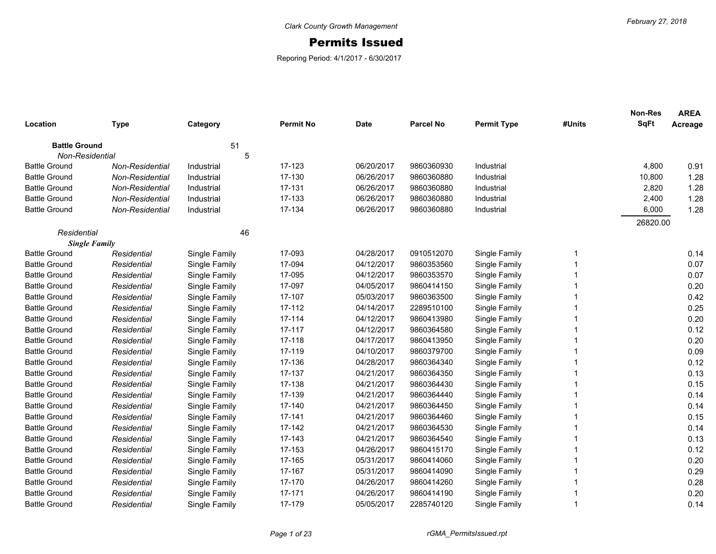## Permits Issued

Reporing Period: 4/1/2017 - 6/30/2017

|                      |                        |               |                  |             |                  |                    |        | <b>Non-Res</b><br><b>SqFt</b> | <b>AREA</b> |
|----------------------|------------------------|---------------|------------------|-------------|------------------|--------------------|--------|-------------------------------|-------------|
| Location             | <b>Type</b>            | Category      | <b>Permit No</b> | <b>Date</b> | <b>Parcel No</b> | <b>Permit Type</b> | #Units |                               | Acreage     |
| <b>Battle Ground</b> |                        | 51            |                  |             |                  |                    |        |                               |             |
| Non-Residential      |                        | 5             |                  |             |                  |                    |        |                               |             |
| <b>Battle Ground</b> | Non-Residential        | Industrial    | 17-123           | 06/20/2017  | 9860360930       | Industrial         |        | 4,800                         | 0.91        |
| <b>Battle Ground</b> | Non-Residential        | Industrial    | 17-130           | 06/26/2017  | 9860360880       | Industrial         |        | 10,800                        | 1.28        |
| <b>Battle Ground</b> | <b>Non-Residential</b> | Industrial    | 17-131           | 06/26/2017  | 9860360880       | Industrial         |        | 2,820                         | 1.28        |
| <b>Battle Ground</b> | Non-Residential        | Industrial    | 17-133           | 06/26/2017  | 9860360880       | Industrial         |        | 2,400                         | 1.28        |
| <b>Battle Ground</b> | <b>Non-Residential</b> | Industrial    | 17-134           | 06/26/2017  | 9860360880       | Industrial         |        | 6,000                         | 1.28        |
|                      |                        |               |                  |             |                  |                    |        | 26820.00                      |             |
| Residential          |                        | 46            |                  |             |                  |                    |        |                               |             |
| <b>Single Family</b> |                        |               |                  |             |                  |                    |        |                               |             |
| <b>Battle Ground</b> | Residential            | Single Family | 17-093           | 04/28/2017  | 0910512070       | Single Family      | -1     |                               | 0.14        |
| <b>Battle Ground</b> | Residential            | Single Family | 17-094           | 04/12/2017  | 9860353560       | Single Family      |        |                               | 0.07        |
| <b>Battle Ground</b> | Residential            | Single Family | 17-095           | 04/12/2017  | 9860353570       | Single Family      |        |                               | 0.07        |
| <b>Battle Ground</b> | Residential            | Single Family | 17-097           | 04/05/2017  | 9860414150       | Single Family      |        |                               | 0.20        |
| <b>Battle Ground</b> | Residential            | Single Family | 17-107           | 05/03/2017  | 9860363500       | Single Family      |        |                               | 0.42        |
| <b>Battle Ground</b> | Residential            | Single Family | 17-112           | 04/14/2017  | 2289510100       | Single Family      |        |                               | 0.25        |
| <b>Battle Ground</b> | Residential            | Single Family | 17-114           | 04/12/2017  | 9860413980       | Single Family      |        |                               | 0.20        |
| <b>Battle Ground</b> | Residential            | Single Family | 17-117           | 04/12/2017  | 9860364580       | Single Family      |        |                               | 0.12        |
| <b>Battle Ground</b> | Residential            | Single Family | 17-118           | 04/17/2017  | 9860413950       | Single Family      |        |                               | 0.20        |
| <b>Battle Ground</b> | Residential            | Single Family | 17-119           | 04/10/2017  | 9860379700       | Single Family      |        |                               | 0.09        |
| <b>Battle Ground</b> | Residential            | Single Family | 17-136           | 04/28/2017  | 9860364340       | Single Family      |        |                               | 0.12        |
| <b>Battle Ground</b> | Residential            | Single Family | 17-137           | 04/21/2017  | 9860364350       | Single Family      |        |                               | 0.13        |
| <b>Battle Ground</b> | Residential            | Single Family | 17-138           | 04/21/2017  | 9860364430       | Single Family      |        |                               | 0.15        |
| <b>Battle Ground</b> | Residential            | Single Family | 17-139           | 04/21/2017  | 9860364440       | Single Family      |        |                               | 0.14        |
| <b>Battle Ground</b> | Residential            | Single Family | 17-140           | 04/21/2017  | 9860364450       | Single Family      |        |                               | 0.14        |
| <b>Battle Ground</b> | Residential            | Single Family | 17-141           | 04/21/2017  | 9860364460       | Single Family      |        |                               | 0.15        |
| <b>Battle Ground</b> | Residential            | Single Family | 17-142           | 04/21/2017  | 9860364530       | Single Family      |        |                               | 0.14        |
| <b>Battle Ground</b> | Residential            | Single Family | 17-143           | 04/21/2017  | 9860364540       | Single Family      |        |                               | 0.13        |
| <b>Battle Ground</b> | Residential            | Single Family | 17-153           | 04/26/2017  | 9860415170       | Single Family      |        |                               | 0.12        |
| <b>Battle Ground</b> | Residential            | Single Family | 17-165           | 05/31/2017  | 9860414060       | Single Family      |        |                               | 0.20        |
| <b>Battle Ground</b> | Residential            | Single Family | 17-167           | 05/31/2017  | 9860414090       | Single Family      |        |                               | 0.29        |
| <b>Battle Ground</b> | Residential            | Single Family | 17-170           | 04/26/2017  | 9860414260       | Single Family      |        |                               | 0.28        |
| <b>Battle Ground</b> | Residential            | Single Family | 17-171           | 04/26/2017  | 9860414190       | Single Family      |        |                               | 0.20        |
| <b>Battle Ground</b> | Residential            | Single Family | 17-179           | 05/05/2017  | 2285740120       | Single Family      | -1     |                               | 0.14        |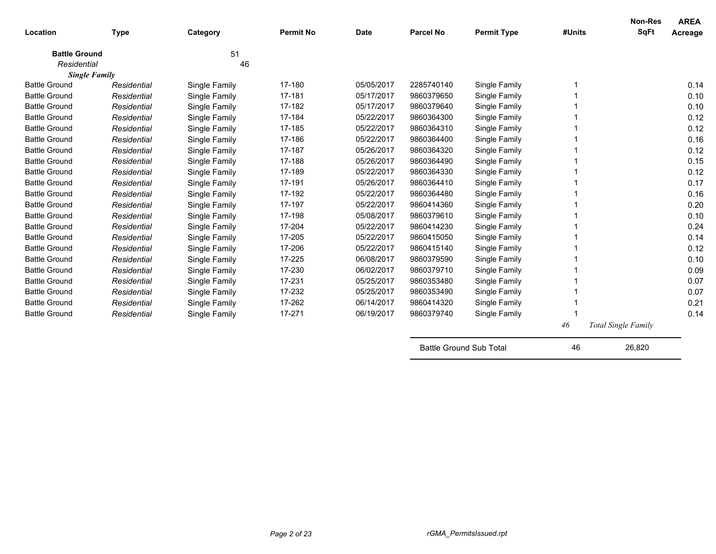| Location             | <b>Type</b> | Category      | <b>Permit No</b> | <b>Date</b> | <b>Parcel No</b> | <b>Permit Type</b> | #Units | <b>Non-Res</b><br>SqFt     | <b>AREA</b><br>Acreage |
|----------------------|-------------|---------------|------------------|-------------|------------------|--------------------|--------|----------------------------|------------------------|
| <b>Battle Ground</b> |             | 51            |                  |             |                  |                    |        |                            |                        |
| Residential          |             | 46            |                  |             |                  |                    |        |                            |                        |
| <b>Single Family</b> |             |               |                  |             |                  |                    |        |                            |                        |
| <b>Battle Ground</b> | Residential | Single Family | 17-180           | 05/05/2017  | 2285740140       | Single Family      |        |                            | 0.14                   |
| <b>Battle Ground</b> | Residential | Single Family | 17-181           | 05/17/2017  | 9860379650       | Single Family      |        |                            | 0.10                   |
| <b>Battle Ground</b> | Residential | Single Family | 17-182           | 05/17/2017  | 9860379640       | Single Family      |        |                            | 0.10                   |
| <b>Battle Ground</b> | Residential | Single Family | 17-184           | 05/22/2017  | 9860364300       | Single Family      |        |                            | 0.12                   |
| <b>Battle Ground</b> | Residential | Single Family | 17-185           | 05/22/2017  | 9860364310       | Single Family      |        |                            | 0.12                   |
| <b>Battle Ground</b> | Residential | Single Family | 17-186           | 05/22/2017  | 9860364400       | Single Family      |        |                            | 0.16                   |
| <b>Battle Ground</b> | Residential | Single Family | 17-187           | 05/26/2017  | 9860364320       | Single Family      |        |                            | 0.12                   |
| <b>Battle Ground</b> | Residential | Single Family | 17-188           | 05/26/2017  | 9860364490       | Single Family      |        |                            | 0.15                   |
| <b>Battle Ground</b> | Residential | Single Family | 17-189           | 05/22/2017  | 9860364330       | Single Family      |        |                            | 0.12                   |
| <b>Battle Ground</b> | Residential | Single Family | 17-191           | 05/26/2017  | 9860364410       | Single Family      |        |                            | 0.17                   |
| <b>Battle Ground</b> | Residential | Single Family | 17-192           | 05/22/2017  | 9860364480       | Single Family      |        |                            | 0.16                   |
| <b>Battle Ground</b> | Residential | Single Family | 17-197           | 05/22/2017  | 9860414360       | Single Family      |        |                            | 0.20                   |
| <b>Battle Ground</b> | Residential | Single Family | 17-198           | 05/08/2017  | 9860379610       | Single Family      |        |                            | 0.10                   |
| <b>Battle Ground</b> | Residential | Single Family | 17-204           | 05/22/2017  | 9860414230       | Single Family      |        |                            | 0.24                   |
| <b>Battle Ground</b> | Residential | Single Family | 17-205           | 05/22/2017  | 9860415050       | Single Family      |        |                            | 0.14                   |
| <b>Battle Ground</b> | Residential | Single Family | 17-206           | 05/22/2017  | 9860415140       | Single Family      |        |                            | 0.12                   |
| <b>Battle Ground</b> | Residential | Single Family | 17-225           | 06/08/2017  | 9860379590       | Single Family      |        |                            | 0.10                   |
| <b>Battle Ground</b> | Residential | Single Family | 17-230           | 06/02/2017  | 9860379710       | Single Family      |        |                            | 0.09                   |
| <b>Battle Ground</b> | Residential | Single Family | 17-231           | 05/25/2017  | 9860353480       | Single Family      |        |                            | 0.07                   |
| <b>Battle Ground</b> | Residential | Single Family | 17-232           | 05/25/2017  | 9860353490       | Single Family      |        |                            | 0.07                   |
| <b>Battle Ground</b> | Residential | Single Family | 17-262           | 06/14/2017  | 9860414320       | Single Family      |        |                            | 0.21                   |
| <b>Battle Ground</b> | Residential | Single Family | 17-271           | 06/19/2017  | 9860379740       | Single Family      |        |                            | 0.14                   |
|                      |             |               |                  |             |                  |                    | 46     | <b>Total Single Family</b> |                        |

Battle Ground Sub Total 16 100 46 26,820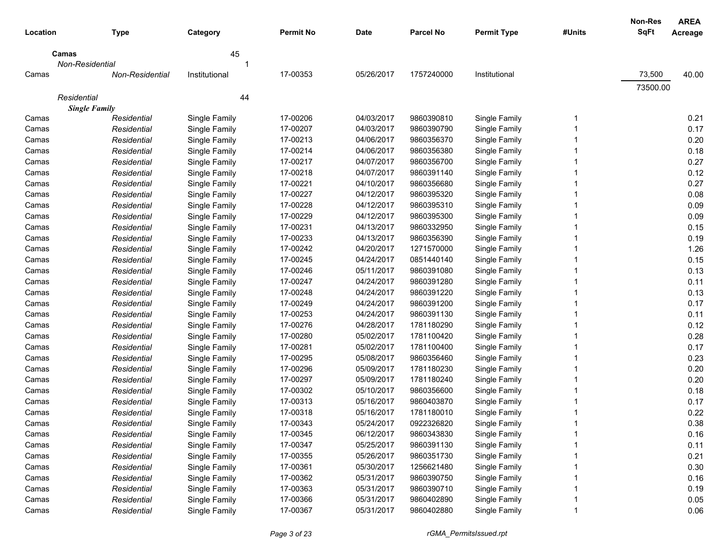| Location | <b>Type</b>            | Category      | <b>Permit No</b> | <b>Date</b> | <b>Parcel No</b> | <b>Permit Type</b> | #Units | <b>Non-Res</b><br><b>SqFt</b> | <b>AREA</b><br>Acreage |
|----------|------------------------|---------------|------------------|-------------|------------------|--------------------|--------|-------------------------------|------------------------|
| Camas    |                        | 45            |                  |             |                  |                    |        |                               |                        |
|          | Non-Residential        | 1             |                  |             |                  |                    |        |                               |                        |
| Camas    | <b>Non-Residential</b> | Institutional | 17-00353         | 05/26/2017  | 1757240000       | Institutional      |        | 73,500                        | 40.00                  |
|          |                        |               |                  |             |                  |                    |        | 73500.00                      |                        |
|          | Residential            | 44            |                  |             |                  |                    |        |                               |                        |
|          | <b>Single Family</b>   |               |                  |             |                  |                    |        |                               |                        |
| Camas    | Residential            | Single Family | 17-00206         | 04/03/2017  | 9860390810       | Single Family      | 1      |                               | 0.21                   |
| Camas    | Residential            | Single Family | 17-00207         | 04/03/2017  | 9860390790       | Single Family      |        |                               | 0.17                   |
| Camas    | Residential            | Single Family | 17-00213         | 04/06/2017  | 9860356370       | Single Family      |        |                               | 0.20                   |
| Camas    | Residential            | Single Family | 17-00214         | 04/06/2017  | 9860356380       | Single Family      |        |                               | 0.18                   |
| Camas    | Residential            | Single Family | 17-00217         | 04/07/2017  | 9860356700       | Single Family      |        |                               | 0.27                   |
| Camas    | Residential            | Single Family | 17-00218         | 04/07/2017  | 9860391140       | Single Family      |        |                               | 0.12                   |
| Camas    | Residential            | Single Family | 17-00221         | 04/10/2017  | 9860356680       | Single Family      |        |                               | 0.27                   |
| Camas    | Residential            | Single Family | 17-00227         | 04/12/2017  | 9860395320       | Single Family      |        |                               | 0.08                   |
| Camas    | Residential            | Single Family | 17-00228         | 04/12/2017  | 9860395310       | Single Family      |        |                               | 0.09                   |
| Camas    | Residential            | Single Family | 17-00229         | 04/12/2017  | 9860395300       | Single Family      |        |                               | 0.09                   |
| Camas    | Residential            | Single Family | 17-00231         | 04/13/2017  | 9860332950       | Single Family      |        |                               | 0.15                   |
| Camas    | Residential            | Single Family | 17-00233         | 04/13/2017  | 9860356390       | Single Family      |        |                               | 0.19                   |
| Camas    | Residential            | Single Family | 17-00242         | 04/20/2017  | 1271570000       | Single Family      |        |                               | 1.26                   |
| Camas    | Residential            | Single Family | 17-00245         | 04/24/2017  | 0851440140       | Single Family      |        |                               | 0.15                   |
| Camas    | Residential            | Single Family | 17-00246         | 05/11/2017  | 9860391080       | Single Family      |        |                               | 0.13                   |
| Camas    | Residential            | Single Family | 17-00247         | 04/24/2017  | 9860391280       | Single Family      |        |                               | 0.11                   |
| Camas    | Residential            | Single Family | 17-00248         | 04/24/2017  | 9860391220       | Single Family      |        |                               | 0.13                   |
| Camas    | Residential            | Single Family | 17-00249         | 04/24/2017  | 9860391200       | Single Family      |        |                               | 0.17                   |
| Camas    | Residential            | Single Family | 17-00253         | 04/24/2017  | 9860391130       | Single Family      |        |                               | 0.11                   |
| Camas    | Residential            | Single Family | 17-00276         | 04/28/2017  | 1781180290       | Single Family      |        |                               | 0.12                   |
| Camas    | Residential            | Single Family | 17-00280         | 05/02/2017  | 1781100420       | Single Family      |        |                               | 0.28                   |
| Camas    | Residential            | Single Family | 17-00281         | 05/02/2017  | 1781100400       | Single Family      |        |                               | 0.17                   |
| Camas    | Residential            | Single Family | 17-00295         | 05/08/2017  | 9860356460       | Single Family      |        |                               | 0.23                   |
| Camas    | Residential            | Single Family | 17-00296         | 05/09/2017  | 1781180230       | Single Family      |        |                               | 0.20                   |
| Camas    | Residential            | Single Family | 17-00297         | 05/09/2017  | 1781180240       | Single Family      |        |                               | 0.20                   |
| Camas    | Residential            | Single Family | 17-00302         | 05/10/2017  | 9860356600       | Single Family      |        |                               | 0.18                   |
| Camas    | Residential            | Single Family | 17-00313         | 05/16/2017  | 9860403870       | Single Family      |        |                               | 0.17                   |
| Camas    | Residential            | Single Family | 17-00318         | 05/16/2017  | 1781180010       | Single Family      | 1      |                               | 0.22                   |
| Camas    | Residential            | Single Family | 17-00343         | 05/24/2017  | 0922326820       | Single Family      |        |                               | 0.38                   |
| Camas    | Residential            | Single Family | 17-00345         | 06/12/2017  | 9860343830       | Single Family      |        |                               | 0.16                   |
| Camas    | Residential            | Single Family | 17-00347         | 05/25/2017  | 9860391130       | Single Family      |        |                               | 0.11                   |
| Camas    | Residential            | Single Family | 17-00355         | 05/26/2017  | 9860351730       | Single Family      |        |                               | 0.21                   |
| Camas    | Residential            | Single Family | 17-00361         | 05/30/2017  | 1256621480       | Single Family      |        |                               | 0.30                   |
| Camas    | Residential            | Single Family | 17-00362         | 05/31/2017  | 9860390750       | Single Family      |        |                               | 0.16                   |
| Camas    | Residential            | Single Family | 17-00363         | 05/31/2017  | 9860390710       | Single Family      |        |                               | 0.19                   |
| Camas    | Residential            | Single Family | 17-00366         | 05/31/2017  | 9860402890       | Single Family      |        |                               | 0.05                   |
| Camas    | Residential            | Single Family | 17-00367         | 05/31/2017  | 9860402880       | Single Family      | 1      |                               | 0.06                   |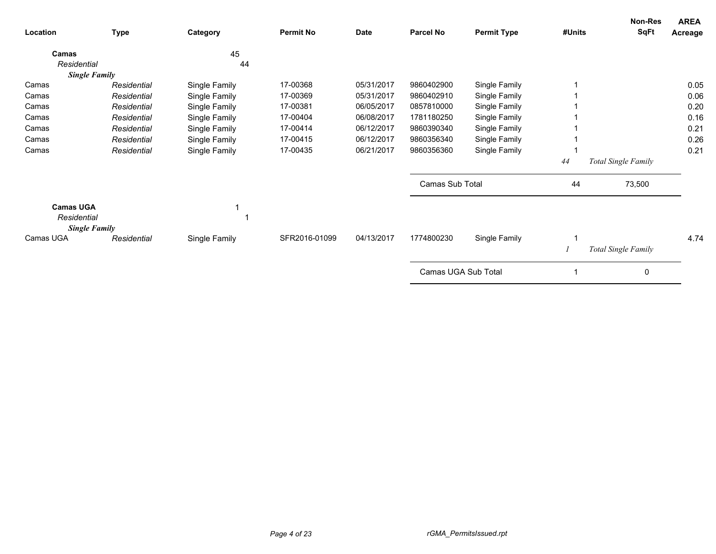| Location                                                | <b>Type</b> | Category      | <b>Permit No</b> | Date       | <b>Parcel No</b>    | <b>Permit Type</b> | #Units | Non-Res<br><b>SqFt</b> | <b>AREA</b><br>Acreage |
|---------------------------------------------------------|-------------|---------------|------------------|------------|---------------------|--------------------|--------|------------------------|------------------------|
| Camas                                                   |             | 45            |                  |            |                     |                    |        |                        |                        |
| Residential                                             |             | 44            |                  |            |                     |                    |        |                        |                        |
| <b>Single Family</b>                                    |             |               |                  |            |                     |                    |        |                        |                        |
| Camas                                                   | Residential | Single Family | 17-00368         | 05/31/2017 | 9860402900          | Single Family      |        |                        | 0.05                   |
| Camas                                                   | Residential | Single Family | 17-00369         | 05/31/2017 | 9860402910          | Single Family      |        |                        | 0.06                   |
| Camas                                                   | Residential | Single Family | 17-00381         | 06/05/2017 | 0857810000          | Single Family      |        |                        | 0.20                   |
| Camas                                                   | Residential | Single Family | 17-00404         | 06/08/2017 | 1781180250          | Single Family      |        |                        | 0.16                   |
| Camas                                                   | Residential | Single Family | 17-00414         | 06/12/2017 | 9860390340          | Single Family      |        |                        | 0.21                   |
| Camas                                                   | Residential | Single Family | 17-00415         | 06/12/2017 | 9860356340          | Single Family      |        |                        | 0.26                   |
| Camas                                                   | Residential | Single Family | 17-00435         | 06/21/2017 | 9860356360          | Single Family      |        |                        | 0.21                   |
|                                                         |             |               |                  |            |                     |                    | 44     | Total Single Family    |                        |
|                                                         |             |               |                  |            | Camas Sub Total     |                    | 44     | 73,500                 |                        |
| <b>Camas UGA</b><br>Residential<br><b>Single Family</b> |             |               |                  |            |                     |                    |        |                        |                        |
| Camas UGA                                               | Residential | Single Family | SFR2016-01099    | 04/13/2017 | 1774800230          | Single Family      |        | Total Single Family    | 4.74                   |
|                                                         |             |               |                  |            | Camas UGA Sub Total |                    |        | 0                      |                        |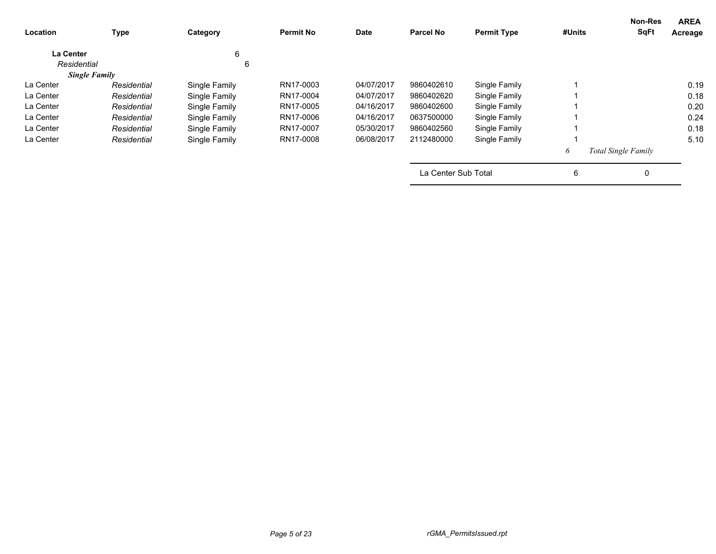| Location         | <b>Type</b>          | Category      | <b>Permit No</b> | Date       | <b>Parcel No</b>    | <b>Permit Type</b> | #Units | <b>Non-Res</b><br><b>SqFt</b> | <b>AREA</b><br>Acreage |
|------------------|----------------------|---------------|------------------|------------|---------------------|--------------------|--------|-------------------------------|------------------------|
| <b>La Center</b> |                      | 6             |                  |            |                     |                    |        |                               |                        |
| Residential      |                      | 6             |                  |            |                     |                    |        |                               |                        |
|                  | <b>Single Family</b> |               |                  |            |                     |                    |        |                               |                        |
| La Center        | Residential          | Single Family | RN17-0003        | 04/07/2017 | 9860402610          | Single Family      |        |                               | 0.19                   |
| La Center        | Residential          | Single Family | RN17-0004        | 04/07/2017 | 9860402620          | Single Family      |        |                               | 0.18                   |
| La Center        | Residential          | Single Family | RN17-0005        | 04/16/2017 | 9860402600          | Single Family      |        |                               | 0.20                   |
| La Center        | Residential          | Single Family | RN17-0006        | 04/16/2017 | 0637500000          | Single Family      |        |                               | 0.24                   |
| La Center        | Residential          | Single Family | RN17-0007        | 05/30/2017 | 9860402560          | Single Family      |        |                               | 0.18                   |
| La Center        | Residential          | Single Family | RN17-0008        | 06/08/2017 | 2112480000          | Single Family      |        |                               | 5.10                   |
|                  |                      |               |                  |            |                     |                    | 6      | <b>Total Single Family</b>    |                        |
|                  |                      |               |                  |            | La Center Sub Total |                    | 6      | 0                             |                        |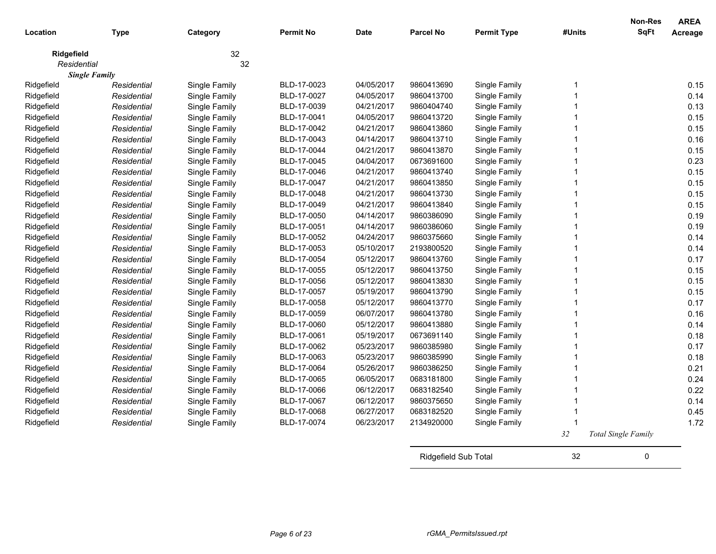| Location    | <b>Type</b>          | Category      | <b>Permit No</b> | Date       | <b>Parcel No</b> | <b>Permit Type</b> | #Units              | <b>Non-Res</b><br><b>SqFt</b> | <b>AREA</b><br>Acreage |
|-------------|----------------------|---------------|------------------|------------|------------------|--------------------|---------------------|-------------------------------|------------------------|
| Ridgefield  |                      | 32            |                  |            |                  |                    |                     |                               |                        |
| Residential |                      | 32            |                  |            |                  |                    |                     |                               |                        |
|             | <b>Single Family</b> |               |                  |            |                  |                    |                     |                               |                        |
| Ridgefield  | Residential          | Single Family | BLD-17-0023      | 04/05/2017 | 9860413690       | Single Family      | 1<br>$\overline{1}$ |                               | 0.15                   |
| Ridgefield  | Residential          | Single Family | BLD-17-0027      | 04/05/2017 | 9860413700       | Single Family      | 1                   |                               | 0.14                   |
| Ridgefield  | Residential          | Single Family | BLD-17-0039      | 04/21/2017 | 9860404740       | Single Family      |                     |                               | 0.13                   |
| Ridgefield  | Residential          | Single Family | BLD-17-0041      | 04/05/2017 | 9860413720       | Single Family      | 1                   |                               | 0.15                   |
| Ridgefield  | Residential          | Single Family | BLD-17-0042      | 04/21/2017 | 9860413860       | Single Family      | 1                   |                               | 0.15                   |
| Ridgefield  | Residential          | Single Family | BLD-17-0043      | 04/14/2017 | 9860413710       | Single Family      | 1                   |                               | 0.16                   |
| Ridgefield  | Residential          | Single Family | BLD-17-0044      | 04/21/2017 | 9860413870       | Single Family      |                     |                               | 0.15                   |
| Ridgefield  | Residential          | Single Family | BLD-17-0045      | 04/04/2017 | 0673691600       | Single Family      |                     |                               | 0.23                   |
| Ridgefield  | Residential          | Single Family | BLD-17-0046      | 04/21/2017 | 9860413740       | Single Family      |                     |                               | 0.15                   |
| Ridgefield  | Residential          | Single Family | BLD-17-0047      | 04/21/2017 | 9860413850       | Single Family      | 1                   |                               | 0.15                   |
| Ridgefield  | Residential          | Single Family | BLD-17-0048      | 04/21/2017 | 9860413730       | Single Family      | 1                   |                               | 0.15                   |
| Ridgefield  | Residential          | Single Family | BLD-17-0049      | 04/21/2017 | 9860413840       | Single Family      |                     |                               | 0.15                   |
| Ridgefield  | Residential          | Single Family | BLD-17-0050      | 04/14/2017 | 9860386090       | Single Family      |                     |                               | 0.19                   |
| Ridgefield  | Residential          | Single Family | BLD-17-0051      | 04/14/2017 | 9860386060       | Single Family      |                     |                               | 0.19                   |
| Ridgefield  | Residential          | Single Family | BLD-17-0052      | 04/24/2017 | 9860375660       | Single Family      |                     |                               | 0.14                   |
| Ridgefield  | Residential          | Single Family | BLD-17-0053      | 05/10/2017 | 2193800520       | Single Family      |                     |                               | 0.14                   |
| Ridgefield  | Residential          | Single Family | BLD-17-0054      | 05/12/2017 | 9860413760       | Single Family      |                     |                               | 0.17                   |
| Ridgefield  | Residential          | Single Family | BLD-17-0055      | 05/12/2017 | 9860413750       | Single Family      | 1                   |                               | 0.15                   |
| Ridgefield  | Residential          | Single Family | BLD-17-0056      | 05/12/2017 | 9860413830       | Single Family      | 1                   |                               | 0.15                   |
| Ridgefield  | Residential          | Single Family | BLD-17-0057      | 05/19/2017 | 9860413790       | Single Family      |                     |                               | 0.15                   |
| Ridgefield  | Residential          | Single Family | BLD-17-0058      | 05/12/2017 | 9860413770       | Single Family      | 1                   |                               | 0.17                   |
| Ridgefield  | Residential          | Single Family | BLD-17-0059      | 06/07/2017 | 9860413780       | Single Family      |                     |                               | 0.16                   |
| Ridgefield  | Residential          | Single Family | BLD-17-0060      | 05/12/2017 | 9860413880       | Single Family      |                     |                               | 0.14                   |
| Ridgefield  | Residential          | Single Family | BLD-17-0061      | 05/19/2017 | 0673691140       | Single Family      |                     |                               | 0.18                   |
| Ridgefield  | Residential          | Single Family | BLD-17-0062      | 05/23/2017 | 9860385980       | Single Family      | 1                   |                               | 0.17                   |
| Ridgefield  | Residential          | Single Family | BLD-17-0063      | 05/23/2017 | 9860385990       | Single Family      | 1                   |                               | 0.18                   |
| Ridgefield  | Residential          | Single Family | BLD-17-0064      | 05/26/2017 | 9860386250       | Single Family      | 1                   |                               | 0.21                   |
| Ridgefield  | Residential          | Single Family | BLD-17-0065      | 06/05/2017 | 0683181800       | Single Family      |                     |                               | 0.24                   |
| Ridgefield  | Residential          | Single Family | BLD-17-0066      | 06/12/2017 | 0683182540       | Single Family      |                     |                               | 0.22                   |
| Ridgefield  | Residential          | Single Family | BLD-17-0067      | 06/12/2017 | 9860375650       | Single Family      |                     |                               | 0.14                   |
| Ridgefield  | Residential          | Single Family | BLD-17-0068      | 06/27/2017 | 0683182520       | Single Family      |                     |                               | 0.45                   |
| Ridgefield  | Residential          | Single Family | BLD-17-0074      | 06/23/2017 | 2134920000       | Single Family      |                     |                               | 1.72                   |
|             |                      |               |                  |            |                  |                    | 32                  | Total Single Family           |                        |

Ridgefield Sub Total 32 0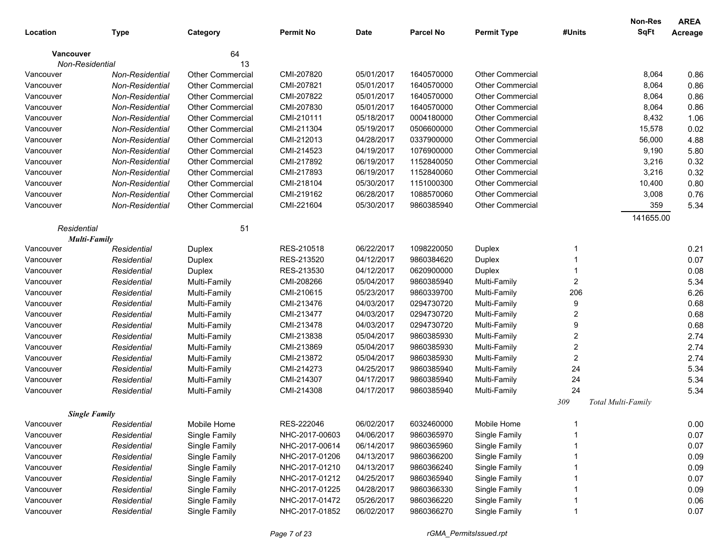|           |                      |                         |                  |             |                  |                         |                  | Non-Res            | <b>AREA</b> |
|-----------|----------------------|-------------------------|------------------|-------------|------------------|-------------------------|------------------|--------------------|-------------|
| Location  | <b>Type</b>          | Category                | <b>Permit No</b> | <b>Date</b> | <b>Parcel No</b> | <b>Permit Type</b>      | #Units           | <b>SqFt</b>        | Acreage     |
|           | <b>Vancouver</b>     | 64                      |                  |             |                  |                         |                  |                    |             |
|           | Non-Residential      | 13                      |                  |             |                  |                         |                  |                    |             |
| Vancouver | Non-Residential      | <b>Other Commercial</b> | CMI-207820       | 05/01/2017  | 1640570000       | <b>Other Commercial</b> |                  | 8,064              | 0.86        |
| Vancouver | Non-Residential      | <b>Other Commercial</b> | CMI-207821       | 05/01/2017  | 1640570000       | <b>Other Commercial</b> |                  | 8,064              | 0.86        |
| Vancouver | Non-Residential      | <b>Other Commercial</b> | CMI-207822       | 05/01/2017  | 1640570000       | <b>Other Commercial</b> |                  | 8,064              | 0.86        |
| Vancouver | Non-Residential      | <b>Other Commercial</b> | CMI-207830       | 05/01/2017  | 1640570000       | <b>Other Commercial</b> |                  | 8,064              | 0.86        |
| Vancouver | Non-Residential      | <b>Other Commercial</b> | CMI-210111       | 05/18/2017  | 0004180000       | <b>Other Commercial</b> |                  | 8,432              | 1.06        |
| Vancouver | Non-Residential      | <b>Other Commercial</b> | CMI-211304       | 05/19/2017  | 0506600000       | <b>Other Commercial</b> |                  | 15,578             | 0.02        |
| Vancouver | Non-Residential      | <b>Other Commercial</b> | CMI-212013       | 04/28/2017  | 0337900000       | <b>Other Commercial</b> |                  | 56,000             | 4.88        |
| Vancouver | Non-Residential      | <b>Other Commercial</b> | CMI-214523       | 04/19/2017  | 1076900000       | <b>Other Commercial</b> |                  | 9,190              | 5.80        |
| Vancouver | Non-Residential      | <b>Other Commercial</b> | CMI-217892       | 06/19/2017  | 1152840050       | <b>Other Commercial</b> |                  | 3,216              | 0.32        |
| Vancouver | Non-Residential      | <b>Other Commercial</b> | CMI-217893       | 06/19/2017  | 1152840060       | <b>Other Commercial</b> |                  | 3,216              | 0.32        |
| Vancouver | Non-Residential      | <b>Other Commercial</b> | CMI-218104       | 05/30/2017  | 1151000300       | <b>Other Commercial</b> |                  | 10,400             | 0.80        |
| Vancouver | Non-Residential      | <b>Other Commercial</b> | CMI-219162       | 06/28/2017  | 1088570060       | <b>Other Commercial</b> |                  | 3,008              | 0.76        |
| Vancouver | Non-Residential      | <b>Other Commercial</b> | CMI-221604       | 05/30/2017  | 9860385940       | <b>Other Commercial</b> |                  | 359                | 5.34        |
|           |                      |                         |                  |             |                  |                         |                  | 141655.00          |             |
|           | Residential          | 51                      |                  |             |                  |                         |                  |                    |             |
|           | <b>Multi-Family</b>  |                         |                  |             |                  |                         |                  |                    |             |
| Vancouver | Residential          | Duplex                  | RES-210518       | 06/22/2017  | 1098220050       | Duplex                  | -1               |                    | 0.21        |
| Vancouver | Residential          | Duplex                  | RES-213520       | 04/12/2017  | 9860384620       | Duplex                  |                  |                    | 0.07        |
| Vancouver | Residential          | Duplex                  | RES-213530       | 04/12/2017  | 0620900000       | Duplex                  |                  |                    | 0.08        |
| Vancouver | Residential          | Multi-Family            | CMI-208266       | 05/04/2017  | 9860385940       | Multi-Family            | $\overline{2}$   |                    | 5.34        |
| Vancouver | Residential          | Multi-Family            | CMI-210615       | 05/23/2017  | 9860339700       | Multi-Family            | 206              |                    | 6.26        |
| Vancouver | Residential          | Multi-Family            | CMI-213476       | 04/03/2017  | 0294730720       | Multi-Family            | 9                |                    | 0.68        |
| Vancouver | Residential          | Multi-Family            | CMI-213477       | 04/03/2017  | 0294730720       | Multi-Family            | $\overline{2}$   |                    | 0.68        |
| Vancouver | Residential          | Multi-Family            | CMI-213478       | 04/03/2017  | 0294730720       | Multi-Family            | 9                |                    | 0.68        |
| Vancouver | Residential          | Multi-Family            | CMI-213838       | 05/04/2017  | 9860385930       | Multi-Family            | $\boldsymbol{2}$ |                    | 2.74        |
| Vancouver | Residential          | Multi-Family            | CMI-213869       | 05/04/2017  | 9860385930       | Multi-Family            | $\overline{2}$   |                    | 2.74        |
| Vancouver | Residential          | Multi-Family            | CMI-213872       | 05/04/2017  | 9860385930       | Multi-Family            | $\overline{2}$   |                    | 2.74        |
| Vancouver | Residential          | Multi-Family            | CMI-214273       | 04/25/2017  | 9860385940       | Multi-Family            | 24               |                    | 5.34        |
| Vancouver | Residential          | Multi-Family            | CMI-214307       | 04/17/2017  | 9860385940       | Multi-Family            | 24               |                    | 5.34        |
| Vancouver | Residential          | Multi-Family            | CMI-214308       | 04/17/2017  | 9860385940       | Multi-Family            | 24               |                    | 5.34        |
|           |                      |                         |                  |             |                  |                         | 309              | Total Multi-Family |             |
|           | <b>Single Family</b> |                         |                  |             |                  |                         |                  |                    |             |
| Vancouver | Residential          | Mobile Home             | RES-222046       | 06/02/2017  | 6032460000       | Mobile Home             |                  |                    | 0.00        |
| Vancouver | Residential          | Single Family           | NHC-2017-00603   | 04/06/2017  | 9860365970       | Single Family           |                  |                    | 0.07        |
| Vancouver | Residential          | Single Family           | NHC-2017-00614   | 06/14/2017  | 9860365960       | Single Family           |                  |                    | 0.07        |
| Vancouver | Residential          | Single Family           | NHC-2017-01206   | 04/13/2017  | 9860366200       | Single Family           |                  |                    | 0.09        |
| Vancouver | Residential          | Single Family           | NHC-2017-01210   | 04/13/2017  | 9860366240       | Single Family           |                  |                    | 0.09        |
| Vancouver | Residential          | Single Family           | NHC-2017-01212   | 04/25/2017  | 9860365940       | Single Family           |                  |                    | 0.07        |
| Vancouver | Residential          | Single Family           | NHC-2017-01225   | 04/28/2017  | 9860366330       | Single Family           |                  |                    | 0.09        |
| Vancouver | Residential          | Single Family           | NHC-2017-01472   | 05/26/2017  | 9860366220       | Single Family           |                  |                    | 0.06        |
| Vancouver | Residential          | Single Family           | NHC-2017-01852   | 06/02/2017  | 9860366270       | Single Family           |                  |                    | 0.07        |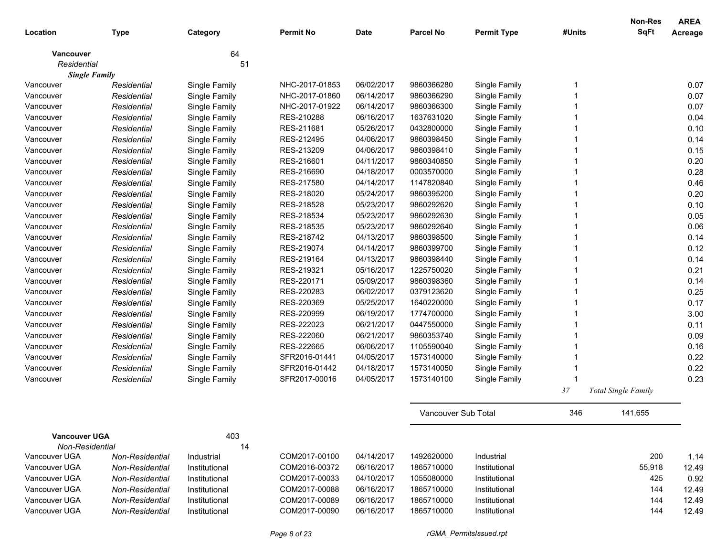|                      |                 |               |                  |             |                     |                    |        | Non-Res                    | <b>AREA</b> |
|----------------------|-----------------|---------------|------------------|-------------|---------------------|--------------------|--------|----------------------------|-------------|
| Location             | <b>Type</b>     | Category      | <b>Permit No</b> | <b>Date</b> | <b>Parcel No</b>    | <b>Permit Type</b> | #Units | <b>SqFt</b>                | Acreage     |
| <b>Vancouver</b>     |                 | 64            |                  |             |                     |                    |        |                            |             |
| Residential          |                 | 51            |                  |             |                     |                    |        |                            |             |
| <b>Single Family</b> |                 |               |                  |             |                     |                    |        |                            |             |
| Vancouver            | Residential     | Single Family | NHC-2017-01853   | 06/02/2017  | 9860366280          | Single Family      | 1      |                            | 0.07        |
| Vancouver            | Residential     | Single Family | NHC-2017-01860   | 06/14/2017  | 9860366290          | Single Family      |        |                            | 0.07        |
| Vancouver            | Residential     | Single Family | NHC-2017-01922   | 06/14/2017  | 9860366300          | Single Family      |        |                            | 0.07        |
| Vancouver            | Residential     | Single Family | RES-210288       | 06/16/2017  | 1637631020          | Single Family      |        |                            | 0.04        |
| Vancouver            | Residential     | Single Family | RES-211681       | 05/26/2017  | 0432800000          | Single Family      |        |                            | 0.10        |
| Vancouver            | Residential     | Single Family | RES-212495       | 04/06/2017  | 9860398450          | Single Family      |        |                            | 0.14        |
| Vancouver            | Residential     | Single Family | RES-213209       | 04/06/2017  | 9860398410          | Single Family      |        |                            | 0.15        |
| Vancouver            | Residential     | Single Family | RES-216601       | 04/11/2017  | 9860340850          | Single Family      |        |                            | 0.20        |
| Vancouver            | Residential     | Single Family | RES-216690       | 04/18/2017  | 0003570000          | Single Family      |        |                            | 0.28        |
| Vancouver            | Residential     | Single Family | RES-217580       | 04/14/2017  | 1147820840          | Single Family      |        |                            | 0.46        |
| Vancouver            | Residential     | Single Family | RES-218020       | 05/24/2017  | 9860395200          | Single Family      |        |                            | 0.20        |
| Vancouver            | Residential     | Single Family | RES-218528       | 05/23/2017  | 9860292620          | Single Family      |        |                            | 0.10        |
| Vancouver            | Residential     | Single Family | RES-218534       | 05/23/2017  | 9860292630          | Single Family      |        |                            | 0.05        |
| Vancouver            | Residential     | Single Family | RES-218535       | 05/23/2017  | 9860292640          | Single Family      |        |                            | 0.06        |
| Vancouver            | Residential     | Single Family | RES-218742       | 04/13/2017  | 9860398500          | Single Family      |        |                            | 0.14        |
| Vancouver            | Residential     | Single Family | RES-219074       | 04/14/2017  | 9860399700          | Single Family      |        |                            | 0.12        |
| Vancouver            | Residential     | Single Family | RES-219164       | 04/13/2017  | 9860398440          | Single Family      |        |                            | 0.14        |
| Vancouver            | Residential     | Single Family | RES-219321       | 05/16/2017  | 1225750020          | Single Family      |        |                            | 0.21        |
| Vancouver            | Residential     | Single Family | RES-220171       | 05/09/2017  | 9860398360          | Single Family      |        |                            | 0.14        |
| Vancouver            | Residential     | Single Family | RES-220283       | 06/02/2017  | 0379123620          | Single Family      |        |                            | 0.25        |
| Vancouver            | Residential     | Single Family | RES-220369       | 05/25/2017  | 1640220000          | Single Family      |        |                            | 0.17        |
| Vancouver            | Residential     | Single Family | RES-220999       | 06/19/2017  | 1774700000          | Single Family      |        |                            | 3.00        |
| Vancouver            | Residential     | Single Family | RES-222023       | 06/21/2017  | 0447550000          | Single Family      |        |                            | 0.11        |
| Vancouver            | Residential     | Single Family | RES-222060       | 06/21/2017  | 9860353740          | Single Family      |        |                            | 0.09        |
| Vancouver            | Residential     | Single Family | RES-222665       | 06/06/2017  | 1105590040          | Single Family      |        |                            | 0.16        |
| Vancouver            | Residential     | Single Family | SFR2016-01441    | 04/05/2017  | 1573140000          | Single Family      |        |                            | 0.22        |
| Vancouver            | Residential     | Single Family | SFR2016-01442    | 04/18/2017  | 1573140050          | Single Family      |        |                            | 0.22        |
| Vancouver            | Residential     | Single Family | SFR2017-00016    | 04/05/2017  | 1573140100          | Single Family      |        |                            | 0.23        |
|                      |                 |               |                  |             |                     |                    | 37     | <b>Total Single Family</b> |             |
|                      |                 |               |                  |             | Vancouver Sub Total |                    | 346    | 141.655                    |             |
| <b>Vancouver UGA</b> |                 | 403           |                  |             |                     |                    |        |                            |             |
| Non-Residential      |                 | 14            |                  |             |                     |                    |        |                            |             |
| Vancouver UGA        | Non-Residential | Industrial    | COM2017-00100    | 04/14/2017  | 1492620000          | Industrial         |        | 200                        | 1.14        |
| Vancouver UGA        | Non-Residential | Institutional | COM2016-00372    | 06/16/2017  | 1865710000          | Institutional      |        | 55,918                     | 12.49       |
| Vancouver UGA        | Non-Residential | Institutional | COM2017-00033    | 04/10/2017  | 1055080000          | Institutional      |        | 425                        | 0.92        |
| Vancouver UGA        | Non-Residential | Institutional | COM2017-00088    | 06/16/2017  | 1865710000          | Institutional      |        | 144                        | 12.49       |
| Vancouver UGA        | Non-Residential | Institutional | COM2017-00089    | 06/16/2017  | 1865710000          | Institutional      |        | 144                        | 12.49       |
| Vancouver UGA        | Non-Residential | Institutional | COM2017-00090    | 06/16/2017  | 1865710000          | Institutional      |        | 144                        | 12.49       |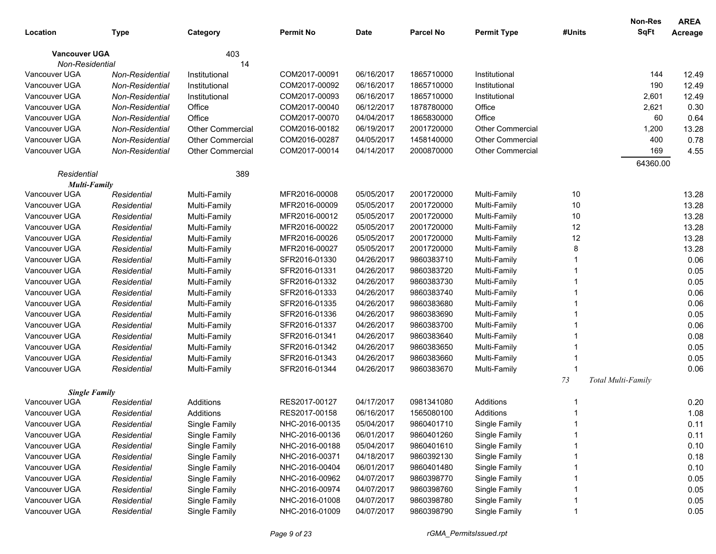|                                       |                            |                                |                  |             |                  |                                |        | Non-Res            | <b>AREA</b> |
|---------------------------------------|----------------------------|--------------------------------|------------------|-------------|------------------|--------------------------------|--------|--------------------|-------------|
| Location                              | Type                       | Category                       | <b>Permit No</b> | <b>Date</b> | <b>Parcel No</b> | <b>Permit Type</b>             | #Units | <b>SqFt</b>        | Acreage     |
| <b>Vancouver UGA</b>                  |                            | 403                            |                  |             |                  |                                |        |                    |             |
| Non-Residential                       |                            | 14                             |                  |             |                  |                                |        |                    |             |
| Vancouver UGA                         | Non-Residential            | Institutional                  | COM2017-00091    | 06/16/2017  | 1865710000       | Institutional                  |        | 144                | 12.49       |
| Vancouver UGA                         | Non-Residential            | Institutional                  | COM2017-00092    | 06/16/2017  | 1865710000       | Institutional                  |        | 190                | 12.49       |
| Vancouver UGA                         | Non-Residential            | Institutional                  | COM2017-00093    | 06/16/2017  | 1865710000       | Institutional                  |        | 2,601              | 12.49       |
| Vancouver UGA                         | Non-Residential            | Office                         | COM2017-00040    | 06/12/2017  | 1878780000       | Office                         |        | 2,621              | 0.30        |
| Vancouver UGA                         | Non-Residential            | Office                         | COM2017-00070    | 04/04/2017  | 1865830000       | Office                         |        | 60                 | 0.64        |
| Vancouver UGA                         | Non-Residential            | <b>Other Commercial</b>        | COM2016-00182    | 06/19/2017  | 2001720000       | <b>Other Commercial</b>        |        | 1,200              | 13.28       |
| Vancouver UGA                         | Non-Residential            | <b>Other Commercial</b>        | COM2016-00287    | 04/05/2017  | 1458140000       | <b>Other Commercial</b>        |        | 400                | 0.78        |
| Vancouver UGA                         | Non-Residential            | <b>Other Commercial</b>        | COM2017-00014    | 04/14/2017  | 2000870000       | <b>Other Commercial</b>        |        | 169                | 4.55        |
|                                       |                            |                                |                  |             |                  |                                |        | 64360.00           |             |
| Residential                           |                            | 389                            |                  |             |                  |                                |        |                    |             |
| <b>Multi-Family</b>                   |                            |                                |                  |             |                  |                                |        |                    |             |
| Vancouver UGA                         | Residential                | Multi-Family                   | MFR2016-00008    | 05/05/2017  | 2001720000       | Multi-Family                   | 10     |                    | 13.28       |
| Vancouver UGA                         | Residential                | Multi-Family                   | MFR2016-00009    | 05/05/2017  | 2001720000       | Multi-Family                   | 10     |                    | 13.28       |
| Vancouver UGA                         | Residential                | Multi-Family                   | MFR2016-00012    | 05/05/2017  | 2001720000       | Multi-Family                   | 10     |                    | 13.28       |
| Vancouver UGA                         | Residential                | Multi-Family                   | MFR2016-00022    | 05/05/2017  | 2001720000       | Multi-Family                   | 12     |                    | 13.28       |
| Vancouver UGA                         | Residential                | Multi-Family                   | MFR2016-00026    | 05/05/2017  | 2001720000       | Multi-Family                   | 12     |                    | 13.28       |
| Vancouver UGA                         | Residential                | Multi-Family                   | MFR2016-00027    | 05/05/2017  | 2001720000       | Multi-Family                   | 8      |                    | 13.28       |
| Vancouver UGA                         | Residential                | Multi-Family                   | SFR2016-01330    | 04/26/2017  | 9860383710       | Multi-Family                   |        |                    | 0.06        |
| Vancouver UGA                         | Residential                | Multi-Family                   | SFR2016-01331    | 04/26/2017  | 9860383720       | Multi-Family                   |        |                    | 0.05        |
| Vancouver UGA                         | Residential                | Multi-Family                   | SFR2016-01332    | 04/26/2017  | 9860383730       | Multi-Family                   |        |                    | 0.05        |
| Vancouver UGA                         | Residential                | Multi-Family                   | SFR2016-01333    | 04/26/2017  | 9860383740       | Multi-Family                   |        |                    | 0.06        |
| Vancouver UGA                         | Residential                | Multi-Family                   | SFR2016-01335    | 04/26/2017  | 9860383680       | Multi-Family                   |        |                    | 0.06        |
| Vancouver UGA                         | Residential                | Multi-Family                   | SFR2016-01336    | 04/26/2017  | 9860383690       | Multi-Family                   |        |                    | 0.05        |
| Vancouver UGA                         | Residential                | Multi-Family                   | SFR2016-01337    | 04/26/2017  | 9860383700       | Multi-Family                   |        |                    | 0.06        |
| Vancouver UGA                         | Residential                | Multi-Family                   | SFR2016-01341    | 04/26/2017  | 9860383640       | Multi-Family                   |        |                    | 0.08        |
| Vancouver UGA                         | Residential                | Multi-Family                   | SFR2016-01342    | 04/26/2017  | 9860383650       | Multi-Family                   |        |                    | 0.05        |
| Vancouver UGA                         | Residential                | Multi-Family                   | SFR2016-01343    | 04/26/2017  | 9860383660       | Multi-Family                   |        |                    | 0.05        |
| Vancouver UGA                         | Residential                | Multi-Family                   | SFR2016-01344    | 04/26/2017  | 9860383670       | Multi-Family                   |        |                    | 0.06        |
|                                       |                            |                                |                  |             |                  |                                | 73     | Total Multi-Family |             |
| <b>Single Family</b><br>Vancouver UGA | Residential                | Additions                      | RES2017-00127    | 04/17/2017  | 0981341080       | Additions                      |        |                    | 0.20        |
| Vancouver UGA                         | Residential                | Additions                      | RES2017-00158    | 06/16/2017  | 1565080100       | Additions                      |        |                    | 1.08        |
| Vancouver UGA                         | Residential                | Single Family                  | NHC-2016-00135   | 05/04/2017  | 9860401710       | Single Family                  |        |                    | 0.11        |
| Vancouver UGA                         | Residential                | Single Family                  | NHC-2016-00136   | 06/01/2017  | 9860401260       | Single Family                  |        |                    | 0.11        |
| Vancouver UGA                         | Residential                | Single Family                  | NHC-2016-00188   | 05/04/2017  | 9860401610       | Single Family                  |        |                    | 0.10        |
| Vancouver UGA                         |                            | Single Family                  | NHC-2016-00371   | 04/18/2017  | 9860392130       | Single Family                  |        |                    | 0.18        |
| Vancouver UGA                         | Residential                |                                | NHC-2016-00404   | 06/01/2017  | 9860401480       |                                |        |                    | 0.10        |
| Vancouver UGA                         | Residential<br>Residential | Single Family                  | NHC-2016-00962   | 04/07/2017  | 9860398770       | Single Family<br>Single Family |        |                    | 0.05        |
| Vancouver UGA                         | Residential                | Single Family<br>Single Family | NHC-2016-00974   | 04/07/2017  | 9860398760       | Single Family                  |        |                    | 0.05        |
| Vancouver UGA                         | Residential                | Single Family                  | NHC-2016-01008   | 04/07/2017  | 9860398780       | Single Family                  |        |                    | 0.05        |
| Vancouver UGA                         |                            | Single Family                  | NHC-2016-01009   | 04/07/2017  | 9860398790       | Single Family                  |        |                    | 0.05        |
|                                       | Residential                |                                |                  |             |                  |                                |        |                    |             |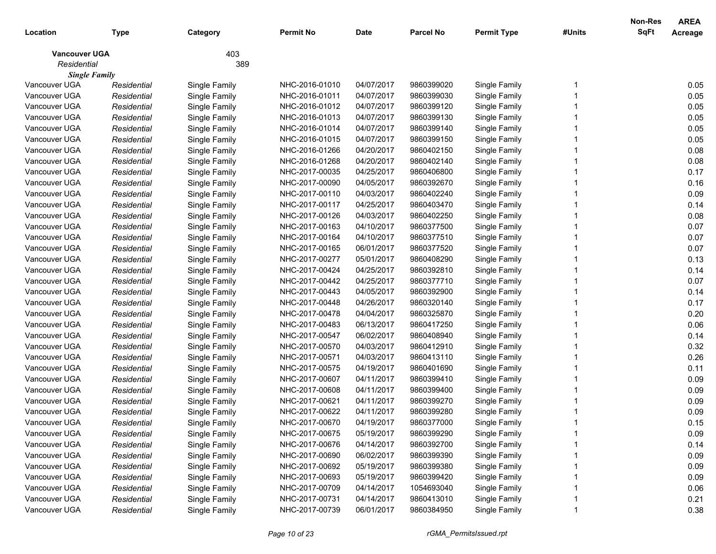|                      |             |               |                  |             |                  |                    |        | <b>Non-Res</b> | <b>AREA</b> |
|----------------------|-------------|---------------|------------------|-------------|------------------|--------------------|--------|----------------|-------------|
| Location             | Type        | Category      | <b>Permit No</b> | <b>Date</b> | <b>Parcel No</b> | <b>Permit Type</b> | #Units | <b>SqFt</b>    | Acreage     |
| <b>Vancouver UGA</b> |             | 403           |                  |             |                  |                    |        |                |             |
| Residential          |             | 389           |                  |             |                  |                    |        |                |             |
| <b>Single Family</b> |             |               |                  |             |                  |                    |        |                |             |
| Vancouver UGA        | Residential | Single Family | NHC-2016-01010   | 04/07/2017  | 9860399020       | Single Family      |        |                | 0.05        |
| Vancouver UGA        | Residential | Single Family | NHC-2016-01011   | 04/07/2017  | 9860399030       | Single Family      |        |                | 0.05        |
| Vancouver UGA        | Residential | Single Family | NHC-2016-01012   | 04/07/2017  | 9860399120       | Single Family      |        |                | 0.05        |
| Vancouver UGA        | Residential | Single Family | NHC-2016-01013   | 04/07/2017  | 9860399130       | Single Family      |        |                | 0.05        |
| Vancouver UGA        | Residential | Single Family | NHC-2016-01014   | 04/07/2017  | 9860399140       | Single Family      |        |                | 0.05        |
| Vancouver UGA        | Residential | Single Family | NHC-2016-01015   | 04/07/2017  | 9860399150       | Single Family      |        |                | 0.05        |
| Vancouver UGA        | Residential | Single Family | NHC-2016-01266   | 04/20/2017  | 9860402150       | Single Family      |        |                | 0.08        |
| Vancouver UGA        | Residential | Single Family | NHC-2016-01268   | 04/20/2017  | 9860402140       | Single Family      |        |                | 0.08        |
| Vancouver UGA        | Residential | Single Family | NHC-2017-00035   | 04/25/2017  | 9860406800       | Single Family      |        |                | 0.17        |
| Vancouver UGA        | Residential | Single Family | NHC-2017-00090   | 04/05/2017  | 9860392670       | Single Family      |        |                | 0.16        |
| Vancouver UGA        | Residential | Single Family | NHC-2017-00110   | 04/03/2017  | 9860402240       | Single Family      |        |                | 0.09        |
| Vancouver UGA        | Residential | Single Family | NHC-2017-00117   | 04/25/2017  | 9860403470       | Single Family      |        |                | 0.14        |
| Vancouver UGA        | Residential | Single Family | NHC-2017-00126   | 04/03/2017  | 9860402250       | Single Family      |        |                | 0.08        |
| Vancouver UGA        | Residential | Single Family | NHC-2017-00163   | 04/10/2017  | 9860377500       | Single Family      |        |                | 0.07        |
| Vancouver UGA        | Residential | Single Family | NHC-2017-00164   | 04/10/2017  | 9860377510       | Single Family      |        |                | 0.07        |
| Vancouver UGA        | Residential | Single Family | NHC-2017-00165   | 06/01/2017  | 9860377520       | Single Family      |        |                | 0.07        |
| Vancouver UGA        | Residential | Single Family | NHC-2017-00277   | 05/01/2017  | 9860408290       | Single Family      |        |                | 0.13        |
| Vancouver UGA        | Residential | Single Family | NHC-2017-00424   | 04/25/2017  | 9860392810       | Single Family      |        |                | 0.14        |
| Vancouver UGA        | Residential | Single Family | NHC-2017-00442   | 04/25/2017  | 9860377710       | Single Family      |        |                | 0.07        |
| Vancouver UGA        | Residential | Single Family | NHC-2017-00443   | 04/05/2017  | 9860392900       | Single Family      |        |                | 0.14        |
| Vancouver UGA        | Residential | Single Family | NHC-2017-00448   | 04/26/2017  | 9860320140       | Single Family      |        |                | 0.17        |
| Vancouver UGA        | Residential | Single Family | NHC-2017-00478   | 04/04/2017  | 9860325870       | Single Family      |        |                | 0.20        |
| Vancouver UGA        | Residential | Single Family | NHC-2017-00483   | 06/13/2017  | 9860417250       | Single Family      |        |                | 0.06        |
| Vancouver UGA        | Residential | Single Family | NHC-2017-00547   | 06/02/2017  | 9860408940       | Single Family      |        |                | 0.14        |
| Vancouver UGA        | Residential | Single Family | NHC-2017-00570   | 04/03/2017  | 9860412910       | Single Family      |        |                | 0.32        |
| Vancouver UGA        | Residential | Single Family | NHC-2017-00571   | 04/03/2017  | 9860413110       | Single Family      |        |                | 0.26        |
| Vancouver UGA        | Residential | Single Family | NHC-2017-00575   | 04/19/2017  | 9860401690       | Single Family      |        |                | 0.11        |
| Vancouver UGA        | Residential | Single Family | NHC-2017-00607   | 04/11/2017  | 9860399410       | Single Family      |        |                | 0.09        |
| Vancouver UGA        | Residential | Single Family | NHC-2017-00608   | 04/11/2017  | 9860399400       | Single Family      |        |                | 0.09        |
| Vancouver UGA        | Residential | Single Family | NHC-2017-00621   | 04/11/2017  | 9860399270       | Single Family      |        |                | 0.09        |
| Vancouver UGA        | Residential | Single Family | NHC-2017-00622   | 04/11/2017  | 9860399280       | Single Family      |        |                | 0.09        |
| Vancouver UGA        | Residential | Single Family | NHC-2017-00670   | 04/19/2017  | 9860377000       | Single Family      |        |                | 0.15        |
| Vancouver UGA        | Residential | Single Family | NHC-2017-00675   | 05/19/2017  | 9860399290       | Single Family      |        |                | 0.09        |
| Vancouver UGA        | Residential | Single Family | NHC-2017-00676   | 04/14/2017  | 9860392700       | Single Family      |        |                | 0.14        |
| Vancouver UGA        | Residential | Single Family | NHC-2017-00690   | 06/02/2017  | 9860399390       | Single Family      |        |                | 0.09        |
| Vancouver UGA        | Residential | Single Family | NHC-2017-00692   | 05/19/2017  | 9860399380       | Single Family      |        |                | 0.09        |
| Vancouver UGA        | Residential | Single Family | NHC-2017-00693   | 05/19/2017  | 9860399420       | Single Family      |        |                | 0.09        |
| Vancouver UGA        | Residential | Single Family | NHC-2017-00709   | 04/14/2017  | 1054693040       | Single Family      |        |                | 0.06        |
| Vancouver UGA        | Residential | Single Family | NHC-2017-00731   | 04/14/2017  | 9860413010       | Single Family      |        |                | 0.21        |
| Vancouver UGA        | Residential | Single Family | NHC-2017-00739   | 06/01/2017  | 9860384950       | Single Family      |        |                | 0.38        |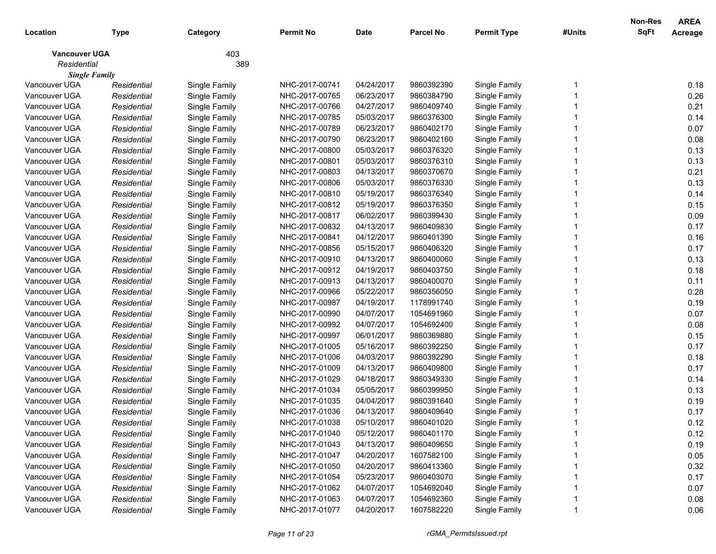|                      |             |               |                |             |                  |                    |        | Non-Res     | <b>AREA</b> |
|----------------------|-------------|---------------|----------------|-------------|------------------|--------------------|--------|-------------|-------------|
| Location             | Type        | Category      | Permit No      | <b>Date</b> | <b>Parcel No</b> | <b>Permit Type</b> | #Units | <b>SqFt</b> | Acreage     |
| <b>Vancouver UGA</b> |             | 403           |                |             |                  |                    |        |             |             |
| Residential          |             | 389           |                |             |                  |                    |        |             |             |
| <b>Single Family</b> |             |               |                |             |                  |                    |        |             |             |
| Vancouver UGA        | Residential | Single Family | NHC-2017-00741 | 04/24/2017  | 9860392390       | Single Family      |        |             | 0.18        |
| Vancouver UGA        | Residential | Single Family | NHC-2017-00765 | 06/23/2017  | 9860384790       | Single Family      |        |             | 0.26        |
| Vancouver UGA        | Residential | Single Family | NHC-2017-00766 | 04/27/2017  | 9860409740       | Single Family      |        |             | 0.21        |
| Vancouver UGA        | Residential | Single Family | NHC-2017-00785 | 05/03/2017  | 9860376300       | Single Family      |        |             | 0.14        |
| Vancouver UGA        | Residential | Single Family | NHC-2017-00789 | 06/23/2017  | 9860402170       | Single Family      |        |             | 0.07        |
| Vancouver UGA        | Residential | Single Family | NHC-2017-00790 | 06/23/2017  | 9860402160       | Single Family      |        |             | 0.08        |
| Vancouver UGA        | Residential | Single Family | NHC-2017-00800 | 05/03/2017  | 9860376320       | Single Family      |        |             | 0.13        |
| Vancouver UGA        | Residential | Single Family | NHC-2017-00801 | 05/03/2017  | 9860376310       | Single Family      |        |             | 0.13        |
| Vancouver UGA        | Residential | Single Family | NHC-2017-00803 | 04/13/2017  | 9860370670       | Single Family      |        |             | 0.21        |
| Vancouver UGA        | Residential | Single Family | NHC-2017-00806 | 05/03/2017  | 9860376330       | Single Family      |        |             | 0.13        |
| Vancouver UGA        | Residential | Single Family | NHC-2017-00810 | 05/19/2017  | 9860376340       | Single Family      |        |             | 0.14        |
| Vancouver UGA        | Residential | Single Family | NHC-2017-00812 | 05/19/2017  | 9860376350       | Single Family      |        |             | 0.15        |
| Vancouver UGA        | Residential | Single Family | NHC-2017-00817 | 06/02/2017  | 9860399430       | Single Family      |        |             | 0.09        |
| Vancouver UGA        | Residential | Single Family | NHC-2017-00832 | 04/13/2017  | 9860409830       | Single Family      |        |             | 0.17        |
| Vancouver UGA        | Residential | Single Family | NHC-2017-00841 | 04/12/2017  | 9860401390       | Single Family      |        |             | 0.16        |
| Vancouver UGA        | Residential | Single Family | NHC-2017-00856 | 05/15/2017  | 9860406320       | Single Family      |        |             | 0.17        |
| Vancouver UGA        | Residential | Single Family | NHC-2017-00910 | 04/13/2017  | 9860400060       | Single Family      |        |             | 0.13        |
| Vancouver UGA        | Residential | Single Family | NHC-2017-00912 | 04/19/2017  | 9860403750       | Single Family      |        |             | 0.18        |
| Vancouver UGA        | Residential | Single Family | NHC-2017-00913 | 04/13/2017  | 9860400070       | Single Family      |        |             | 0.11        |
| Vancouver UGA        | Residential | Single Family | NHC-2017-00966 | 05/22/2017  | 9860356050       | Single Family      |        |             | 0.28        |
| Vancouver UGA        | Residential | Single Family | NHC-2017-00987 | 04/19/2017  | 1178991740       | Single Family      |        |             | 0.19        |
| Vancouver UGA        | Residential | Single Family | NHC-2017-00990 | 04/07/2017  | 1054691960       | Single Family      |        |             | 0.07        |
| Vancouver UGA        | Residential | Single Family | NHC-2017-00992 | 04/07/2017  | 1054692400       | Single Family      |        |             | 0.08        |
| Vancouver UGA        | Residential | Single Family | NHC-2017-00997 | 06/01/2017  | 9860369880       | Single Family      |        |             | 0.15        |
| Vancouver UGA        | Residential | Single Family | NHC-2017-01005 | 05/16/2017  | 9860392250       | Single Family      |        |             | 0.17        |
| Vancouver UGA        | Residential | Single Family | NHC-2017-01006 | 04/03/2017  | 9860392290       | Single Family      |        |             | 0.18        |
| Vancouver UGA        | Residential | Single Family | NHC-2017-01009 | 04/13/2017  | 9860409800       | Single Family      |        |             | 0.17        |
| Vancouver UGA        | Residential | Single Family | NHC-2017-01029 | 04/18/2017  | 9860349330       | Single Family      |        |             | 0.14        |
| Vancouver UGA        | Residential | Single Family | NHC-2017-01034 | 05/05/2017  | 9860399950       | Single Family      |        |             | 0.13        |
| Vancouver UGA        | Residential | Single Family | NHC-2017-01035 | 04/04/2017  | 9860391640       | Single Family      |        |             | 0.19        |
| Vancouver UGA        | Residential | Single Family | NHC-2017-01036 | 04/13/2017  | 9860409640       | Single Family      |        |             | 0.17        |
| Vancouver UGA        | Residential | Single Family | NHC-2017-01038 | 05/10/2017  | 9860401020       | Single Family      |        |             | 0.12        |
| Vancouver UGA        | Residential | Single Family | NHC-2017-01040 | 05/12/2017  | 9860401170       | Single Family      |        |             | 0.12        |
| Vancouver UGA        | Residential | Single Family | NHC-2017-01043 | 04/13/2017  | 9860409650       | Single Family      |        |             | 0.19        |
| Vancouver UGA        | Residential | Single Family | NHC-2017-01047 | 04/20/2017  | 1607582100       | Single Family      |        |             | 0.05        |
| Vancouver UGA        | Residential | Single Family | NHC-2017-01050 | 04/20/2017  | 9860413360       | Single Family      |        |             | 0.32        |
| Vancouver UGA        | Residential | Single Family | NHC-2017-01054 | 05/23/2017  | 9860403070       | Single Family      |        |             | 0.17        |
| Vancouver UGA        | Residential | Single Family | NHC-2017-01062 | 04/07/2017  | 1054692040       | Single Family      |        |             | 0.07        |
| Vancouver UGA        | Residential | Single Family | NHC-2017-01063 | 04/07/2017  | 1054692360       | Single Family      |        |             | 0.08        |
| Vancouver UGA        | Residential | Single Family | NHC-2017-01077 | 04/20/2017  | 1607582220       | Single Family      |        |             | 0.06        |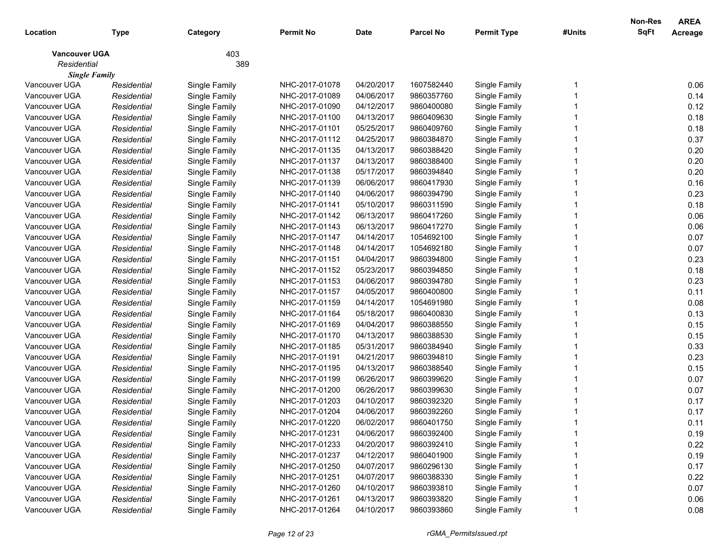|                      |             |               |                |             |                  |                    |        | Non-Res     | <b>AREA</b> |
|----------------------|-------------|---------------|----------------|-------------|------------------|--------------------|--------|-------------|-------------|
| Location             | Type        | Category      | Permit No      | <b>Date</b> | <b>Parcel No</b> | <b>Permit Type</b> | #Units | <b>SqFt</b> | Acreage     |
| <b>Vancouver UGA</b> |             | 403           |                |             |                  |                    |        |             |             |
| Residential          |             | 389           |                |             |                  |                    |        |             |             |
| <b>Single Family</b> |             |               |                |             |                  |                    |        |             |             |
| Vancouver UGA        | Residential | Single Family | NHC-2017-01078 | 04/20/2017  | 1607582440       | Single Family      |        |             | 0.06        |
| Vancouver UGA        | Residential | Single Family | NHC-2017-01089 | 04/06/2017  | 9860357760       | Single Family      |        |             | 0.14        |
| Vancouver UGA        | Residential | Single Family | NHC-2017-01090 | 04/12/2017  | 9860400080       | Single Family      |        |             | 0.12        |
| Vancouver UGA        | Residential | Single Family | NHC-2017-01100 | 04/13/2017  | 9860409630       | Single Family      |        |             | 0.18        |
| Vancouver UGA        | Residential | Single Family | NHC-2017-01101 | 05/25/2017  | 9860409760       | Single Family      |        |             | 0.18        |
| Vancouver UGA        | Residential | Single Family | NHC-2017-01112 | 04/25/2017  | 9860384870       | Single Family      |        |             | 0.37        |
| Vancouver UGA        | Residential | Single Family | NHC-2017-01135 | 04/13/2017  | 9860388420       | Single Family      |        |             | 0.20        |
| Vancouver UGA        | Residential | Single Family | NHC-2017-01137 | 04/13/2017  | 9860388400       | Single Family      |        |             | 0.20        |
| Vancouver UGA        | Residential | Single Family | NHC-2017-01138 | 05/17/2017  | 9860394840       | Single Family      |        |             | 0.20        |
| Vancouver UGA        | Residential | Single Family | NHC-2017-01139 | 06/06/2017  | 9860417930       | Single Family      |        |             | 0.16        |
| Vancouver UGA        | Residential | Single Family | NHC-2017-01140 | 04/06/2017  | 9860394790       | Single Family      |        |             | 0.23        |
| Vancouver UGA        | Residential | Single Family | NHC-2017-01141 | 05/10/2017  | 9860311590       | Single Family      |        |             | 0.18        |
| Vancouver UGA        | Residential | Single Family | NHC-2017-01142 | 06/13/2017  | 9860417260       | Single Family      |        |             | 0.06        |
| Vancouver UGA        | Residential | Single Family | NHC-2017-01143 | 06/13/2017  | 9860417270       | Single Family      |        |             | 0.06        |
| Vancouver UGA        | Residential | Single Family | NHC-2017-01147 | 04/14/2017  | 1054692100       | Single Family      |        |             | 0.07        |
| Vancouver UGA        | Residential | Single Family | NHC-2017-01148 | 04/14/2017  | 1054692180       | Single Family      |        |             | 0.07        |
| Vancouver UGA        | Residential | Single Family | NHC-2017-01151 | 04/04/2017  | 9860394800       | Single Family      |        |             | 0.23        |
| Vancouver UGA        | Residential | Single Family | NHC-2017-01152 | 05/23/2017  | 9860394850       | Single Family      |        |             | 0.18        |
| Vancouver UGA        | Residential | Single Family | NHC-2017-01153 | 04/06/2017  | 9860394780       | Single Family      |        |             | 0.23        |
| Vancouver UGA        | Residential | Single Family | NHC-2017-01157 | 04/05/2017  | 9860400800       | Single Family      |        |             | 0.11        |
| Vancouver UGA        | Residential | Single Family | NHC-2017-01159 | 04/14/2017  | 1054691980       | Single Family      |        |             | 0.08        |
| Vancouver UGA        | Residential | Single Family | NHC-2017-01164 | 05/18/2017  | 9860400830       | Single Family      |        |             | 0.13        |
| Vancouver UGA        | Residential | Single Family | NHC-2017-01169 | 04/04/2017  | 9860388550       | Single Family      |        |             | 0.15        |
| Vancouver UGA        | Residential | Single Family | NHC-2017-01170 | 04/13/2017  | 9860388530       | Single Family      |        |             | 0.15        |
| Vancouver UGA        | Residential | Single Family | NHC-2017-01185 | 05/31/2017  | 9860384940       | Single Family      |        |             | 0.33        |
| Vancouver UGA        | Residential | Single Family | NHC-2017-01191 | 04/21/2017  | 9860394810       | Single Family      |        |             | 0.23        |
| Vancouver UGA        | Residential | Single Family | NHC-2017-01195 | 04/13/2017  | 9860388540       | Single Family      |        |             | 0.15        |
| Vancouver UGA        | Residential | Single Family | NHC-2017-01199 | 06/26/2017  | 9860399620       | Single Family      |        |             | 0.07        |
| Vancouver UGA        | Residential | Single Family | NHC-2017-01200 | 06/26/2017  | 9860399630       | Single Family      |        |             | 0.07        |
| Vancouver UGA        | Residential | Single Family | NHC-2017-01203 | 04/10/2017  | 9860392320       | Single Family      |        |             | 0.17        |
| Vancouver UGA        | Residential | Single Family | NHC-2017-01204 | 04/06/2017  | 9860392260       | Single Family      |        |             | 0.17        |
| Vancouver UGA        | Residential | Single Family | NHC-2017-01220 | 06/02/2017  | 9860401750       | Single Family      |        |             | 0.11        |
| Vancouver UGA        | Residential | Single Family | NHC-2017-01231 | 04/06/2017  | 9860392400       | Single Family      |        |             | 0.19        |
| Vancouver UGA        | Residential | Single Family | NHC-2017-01233 | 04/20/2017  | 9860392410       | Single Family      |        |             | 0.22        |
| Vancouver UGA        | Residential | Single Family | NHC-2017-01237 | 04/12/2017  | 9860401900       | Single Family      |        |             | 0.19        |
| Vancouver UGA        | Residential | Single Family | NHC-2017-01250 | 04/07/2017  | 9860296130       | Single Family      |        |             | 0.17        |
| Vancouver UGA        | Residential | Single Family | NHC-2017-01251 | 04/07/2017  | 9860388330       | Single Family      |        |             | 0.22        |
| Vancouver UGA        | Residential | Single Family | NHC-2017-01260 | 04/10/2017  | 9860393810       | Single Family      |        |             | 0.07        |
| Vancouver UGA        | Residential | Single Family | NHC-2017-01261 | 04/13/2017  | 9860393820       | Single Family      |        |             | 0.06        |
| Vancouver UGA        | Residential | Single Family | NHC-2017-01264 | 04/10/2017  | 9860393860       | Single Family      |        |             | 0.08        |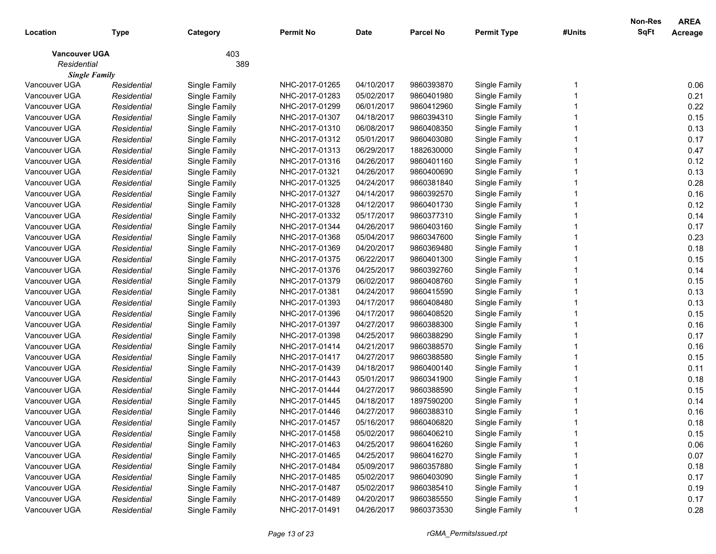|                      |             |               |                |             |                  |                    |        | Non-Res     | <b>AREA</b> |
|----------------------|-------------|---------------|----------------|-------------|------------------|--------------------|--------|-------------|-------------|
| Location             | Type        | Category      | Permit No      | <b>Date</b> | <b>Parcel No</b> | <b>Permit Type</b> | #Units | <b>SqFt</b> | Acreage     |
| <b>Vancouver UGA</b> |             | 403           |                |             |                  |                    |        |             |             |
| Residential          |             | 389           |                |             |                  |                    |        |             |             |
| <b>Single Family</b> |             |               |                |             |                  |                    |        |             |             |
| Vancouver UGA        | Residential | Single Family | NHC-2017-01265 | 04/10/2017  | 9860393870       | Single Family      |        |             | 0.06        |
| Vancouver UGA        | Residential | Single Family | NHC-2017-01283 | 05/02/2017  | 9860401980       | Single Family      |        |             | 0.21        |
| Vancouver UGA        | Residential | Single Family | NHC-2017-01299 | 06/01/2017  | 9860412960       | Single Family      |        |             | 0.22        |
| Vancouver UGA        | Residential | Single Family | NHC-2017-01307 | 04/18/2017  | 9860394310       | Single Family      |        |             | 0.15        |
| Vancouver UGA        | Residential | Single Family | NHC-2017-01310 | 06/08/2017  | 9860408350       | Single Family      |        |             | 0.13        |
| Vancouver UGA        | Residential | Single Family | NHC-2017-01312 | 05/01/2017  | 9860403080       | Single Family      |        |             | 0.17        |
| Vancouver UGA        | Residential | Single Family | NHC-2017-01313 | 06/29/2017  | 1882630000       | Single Family      |        |             | 0.47        |
| Vancouver UGA        | Residential | Single Family | NHC-2017-01316 | 04/26/2017  | 9860401160       | Single Family      |        |             | 0.12        |
| Vancouver UGA        | Residential | Single Family | NHC-2017-01321 | 04/26/2017  | 9860400690       | Single Family      |        |             | 0.13        |
| Vancouver UGA        | Residential | Single Family | NHC-2017-01325 | 04/24/2017  | 9860381840       | Single Family      |        |             | 0.28        |
| Vancouver UGA        | Residential | Single Family | NHC-2017-01327 | 04/14/2017  | 9860392570       | Single Family      |        |             | 0.16        |
| Vancouver UGA        | Residential | Single Family | NHC-2017-01328 | 04/12/2017  | 9860401730       | Single Family      |        |             | 0.12        |
| Vancouver UGA        | Residential | Single Family | NHC-2017-01332 | 05/17/2017  | 9860377310       | Single Family      |        |             | 0.14        |
| Vancouver UGA        | Residential | Single Family | NHC-2017-01344 | 04/26/2017  | 9860403160       | Single Family      |        |             | 0.17        |
| Vancouver UGA        | Residential | Single Family | NHC-2017-01368 | 05/04/2017  | 9860347600       | Single Family      |        |             | 0.23        |
| Vancouver UGA        | Residential | Single Family | NHC-2017-01369 | 04/20/2017  | 9860369480       | Single Family      |        |             | 0.18        |
| Vancouver UGA        | Residential | Single Family | NHC-2017-01375 | 06/22/2017  | 9860401300       | Single Family      |        |             | 0.15        |
| Vancouver UGA        | Residential | Single Family | NHC-2017-01376 | 04/25/2017  | 9860392760       | Single Family      |        |             | 0.14        |
| Vancouver UGA        | Residential | Single Family | NHC-2017-01379 | 06/02/2017  | 9860408760       | Single Family      |        |             | 0.15        |
| Vancouver UGA        | Residential | Single Family | NHC-2017-01381 | 04/24/2017  | 9860415590       | Single Family      |        |             | 0.13        |
| Vancouver UGA        | Residential | Single Family | NHC-2017-01393 | 04/17/2017  | 9860408480       | Single Family      |        |             | 0.13        |
| Vancouver UGA        | Residential | Single Family | NHC-2017-01396 | 04/17/2017  | 9860408520       | Single Family      |        |             | 0.15        |
| Vancouver UGA        | Residential | Single Family | NHC-2017-01397 | 04/27/2017  | 9860388300       | Single Family      |        |             | 0.16        |
| Vancouver UGA        | Residential | Single Family | NHC-2017-01398 | 04/25/2017  | 9860388290       | Single Family      |        |             | 0.17        |
| Vancouver UGA        | Residential | Single Family | NHC-2017-01414 | 04/21/2017  | 9860388570       | Single Family      |        |             | 0.16        |
| Vancouver UGA        | Residential | Single Family | NHC-2017-01417 | 04/27/2017  | 9860388580       | Single Family      |        |             | 0.15        |
| Vancouver UGA        | Residential | Single Family | NHC-2017-01439 | 04/18/2017  | 9860400140       | Single Family      |        |             | 0.11        |
| Vancouver UGA        | Residential | Single Family | NHC-2017-01443 | 05/01/2017  | 9860341900       | Single Family      |        |             | 0.18        |
| Vancouver UGA        | Residential | Single Family | NHC-2017-01444 | 04/27/2017  | 9860388590       | Single Family      |        |             | 0.15        |
| Vancouver UGA        | Residential | Single Family | NHC-2017-01445 | 04/18/2017  | 1897590200       | Single Family      |        |             | 0.14        |
| Vancouver UGA        | Residential | Single Family | NHC-2017-01446 | 04/27/2017  | 9860388310       | Single Family      |        |             | 0.16        |
| Vancouver UGA        | Residential | Single Family | NHC-2017-01457 | 05/16/2017  | 9860406820       | Single Family      |        |             | 0.18        |
| Vancouver UGA        | Residential | Single Family | NHC-2017-01458 | 05/02/2017  | 9860406210       | Single Family      |        |             | 0.15        |
| Vancouver UGA        | Residential | Single Family | NHC-2017-01463 | 04/25/2017  | 9860416260       | Single Family      |        |             | 0.06        |
| Vancouver UGA        | Residential | Single Family | NHC-2017-01465 | 04/25/2017  | 9860416270       | Single Family      |        |             | 0.07        |
| Vancouver UGA        | Residential | Single Family | NHC-2017-01484 | 05/09/2017  | 9860357880       | Single Family      |        |             | 0.18        |
| Vancouver UGA        | Residential | Single Family | NHC-2017-01485 | 05/02/2017  | 9860403090       | Single Family      |        |             | 0.17        |
| Vancouver UGA        | Residential | Single Family | NHC-2017-01487 | 05/02/2017  | 9860385410       | Single Family      |        |             | 0.19        |
| Vancouver UGA        | Residential | Single Family | NHC-2017-01489 | 04/20/2017  | 9860385550       | Single Family      |        |             | 0.17        |
| Vancouver UGA        | Residential | Single Family | NHC-2017-01491 | 04/26/2017  | 9860373530       | Single Family      |        |             | 0.28        |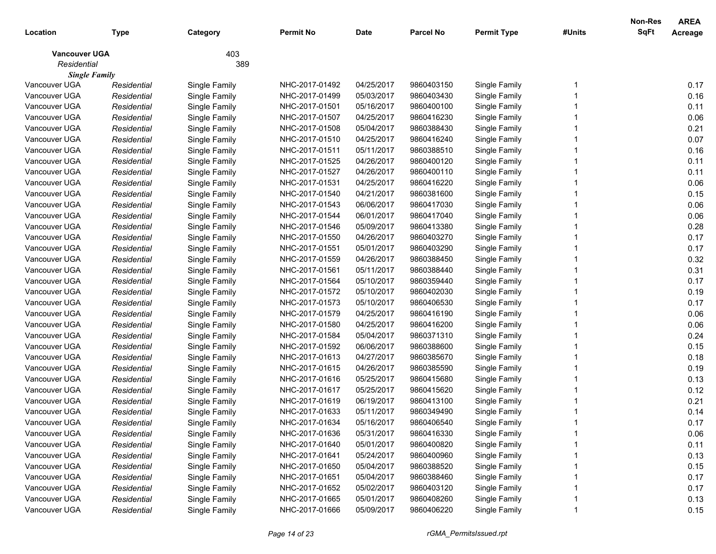|                      |             |               |                |             |                  |                    |        | Non-Res     | <b>AREA</b> |
|----------------------|-------------|---------------|----------------|-------------|------------------|--------------------|--------|-------------|-------------|
| Location             | Type        | Category      | Permit No      | <b>Date</b> | <b>Parcel No</b> | <b>Permit Type</b> | #Units | <b>SqFt</b> | Acreage     |
| <b>Vancouver UGA</b> |             | 403           |                |             |                  |                    |        |             |             |
| Residential          |             | 389           |                |             |                  |                    |        |             |             |
| <b>Single Family</b> |             |               |                |             |                  |                    |        |             |             |
| Vancouver UGA        | Residential | Single Family | NHC-2017-01492 | 04/25/2017  | 9860403150       | Single Family      |        |             | 0.17        |
| Vancouver UGA        | Residential | Single Family | NHC-2017-01499 | 05/03/2017  | 9860403430       | Single Family      |        |             | 0.16        |
| Vancouver UGA        | Residential | Single Family | NHC-2017-01501 | 05/16/2017  | 9860400100       | Single Family      |        |             | 0.11        |
| Vancouver UGA        | Residential | Single Family | NHC-2017-01507 | 04/25/2017  | 9860416230       | Single Family      |        |             | 0.06        |
| Vancouver UGA        | Residential | Single Family | NHC-2017-01508 | 05/04/2017  | 9860388430       | Single Family      |        |             | 0.21        |
| Vancouver UGA        | Residential | Single Family | NHC-2017-01510 | 04/25/2017  | 9860416240       | Single Family      |        |             | 0.07        |
| Vancouver UGA        | Residential | Single Family | NHC-2017-01511 | 05/11/2017  | 9860388510       | Single Family      |        |             | 0.16        |
| Vancouver UGA        | Residential | Single Family | NHC-2017-01525 | 04/26/2017  | 9860400120       | Single Family      |        |             | 0.11        |
| Vancouver UGA        | Residential | Single Family | NHC-2017-01527 | 04/26/2017  | 9860400110       | Single Family      |        |             | 0.11        |
| Vancouver UGA        | Residential | Single Family | NHC-2017-01531 | 04/25/2017  | 9860416220       | Single Family      |        |             | 0.06        |
| Vancouver UGA        | Residential | Single Family | NHC-2017-01540 | 04/21/2017  | 9860381600       | Single Family      |        |             | 0.15        |
| Vancouver UGA        | Residential | Single Family | NHC-2017-01543 | 06/06/2017  | 9860417030       | Single Family      |        |             | 0.06        |
| Vancouver UGA        | Residential | Single Family | NHC-2017-01544 | 06/01/2017  | 9860417040       | Single Family      |        |             | 0.06        |
| Vancouver UGA        | Residential | Single Family | NHC-2017-01546 | 05/09/2017  | 9860413380       | Single Family      |        |             | 0.28        |
| Vancouver UGA        | Residential | Single Family | NHC-2017-01550 | 04/26/2017  | 9860403270       | Single Family      |        |             | 0.17        |
| Vancouver UGA        | Residential | Single Family | NHC-2017-01551 | 05/01/2017  | 9860403290       | Single Family      |        |             | 0.17        |
| Vancouver UGA        | Residential | Single Family | NHC-2017-01559 | 04/26/2017  | 9860388450       | Single Family      |        |             | 0.32        |
| Vancouver UGA        | Residential | Single Family | NHC-2017-01561 | 05/11/2017  | 9860388440       | Single Family      |        |             | 0.31        |
| Vancouver UGA        | Residential | Single Family | NHC-2017-01564 | 05/10/2017  | 9860359440       | Single Family      |        |             | 0.17        |
| Vancouver UGA        | Residential | Single Family | NHC-2017-01572 | 05/10/2017  | 9860402030       | Single Family      |        |             | 0.19        |
| Vancouver UGA        | Residential | Single Family | NHC-2017-01573 | 05/10/2017  | 9860406530       | Single Family      |        |             | 0.17        |
| Vancouver UGA        | Residential | Single Family | NHC-2017-01579 | 04/25/2017  | 9860416190       | Single Family      |        |             | 0.06        |
| Vancouver UGA        | Residential | Single Family | NHC-2017-01580 | 04/25/2017  | 9860416200       | Single Family      |        |             | 0.06        |
| Vancouver UGA        | Residential | Single Family | NHC-2017-01584 | 05/04/2017  | 9860371310       | Single Family      |        |             | 0.24        |
| Vancouver UGA        | Residential | Single Family | NHC-2017-01592 | 06/06/2017  | 9860388600       | Single Family      |        |             | 0.15        |
| Vancouver UGA        | Residential | Single Family | NHC-2017-01613 | 04/27/2017  | 9860385670       | Single Family      |        |             | 0.18        |
| Vancouver UGA        | Residential | Single Family | NHC-2017-01615 | 04/26/2017  | 9860385590       | Single Family      |        |             | 0.19        |
| Vancouver UGA        | Residential | Single Family | NHC-2017-01616 | 05/25/2017  | 9860415680       | Single Family      |        |             | 0.13        |
| Vancouver UGA        | Residential | Single Family | NHC-2017-01617 | 05/25/2017  | 9860415620       | Single Family      |        |             | 0.12        |
| Vancouver UGA        | Residential | Single Family | NHC-2017-01619 | 06/19/2017  | 9860413100       | Single Family      |        |             | 0.21        |
| Vancouver UGA        | Residential | Single Family | NHC-2017-01633 | 05/11/2017  | 9860349490       | Single Family      |        |             | 0.14        |
| Vancouver UGA        | Residential | Single Family | NHC-2017-01634 | 05/16/2017  | 9860406540       | Single Family      |        |             | 0.17        |
| Vancouver UGA        | Residential | Single Family | NHC-2017-01636 | 05/31/2017  | 9860416330       | Single Family      |        |             | 0.06        |
| Vancouver UGA        | Residential | Single Family | NHC-2017-01640 | 05/01/2017  | 9860400820       | Single Family      |        |             | 0.11        |
| Vancouver UGA        | Residential | Single Family | NHC-2017-01641 | 05/24/2017  | 9860400960       | Single Family      |        |             | 0.13        |
| Vancouver UGA        | Residential | Single Family | NHC-2017-01650 | 05/04/2017  | 9860388520       | Single Family      |        |             | 0.15        |
| Vancouver UGA        | Residential | Single Family | NHC-2017-01651 | 05/04/2017  | 9860388460       | Single Family      |        |             | 0.17        |
| Vancouver UGA        | Residential | Single Family | NHC-2017-01652 | 05/02/2017  | 9860403120       | Single Family      |        |             | 0.17        |
| Vancouver UGA        | Residential | Single Family | NHC-2017-01665 | 05/01/2017  | 9860408260       | Single Family      |        |             | 0.13        |
| Vancouver UGA        | Residential | Single Family | NHC-2017-01666 | 05/09/2017  | 9860406220       | Single Family      |        |             | 0.15        |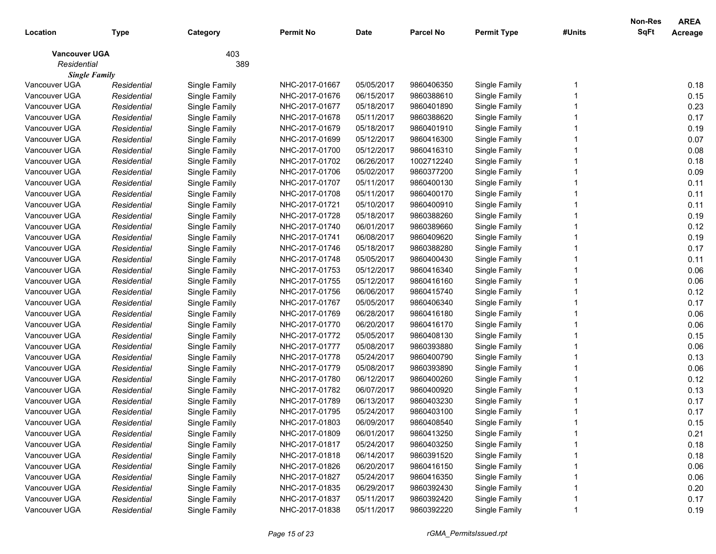|                      |             |               |                |             |                  |                    |        | Non-Res     | <b>AREA</b> |
|----------------------|-------------|---------------|----------------|-------------|------------------|--------------------|--------|-------------|-------------|
| Location             | <b>Type</b> | Category      | Permit No      | <b>Date</b> | <b>Parcel No</b> | <b>Permit Type</b> | #Units | <b>SqFt</b> | Acreage     |
| <b>Vancouver UGA</b> |             | 403           |                |             |                  |                    |        |             |             |
| Residential          |             | 389           |                |             |                  |                    |        |             |             |
| <b>Single Family</b> |             |               |                |             |                  |                    |        |             |             |
| Vancouver UGA        | Residential | Single Family | NHC-2017-01667 | 05/05/2017  | 9860406350       | Single Family      |        |             | 0.18        |
| Vancouver UGA        | Residential | Single Family | NHC-2017-01676 | 06/15/2017  | 9860388610       | Single Family      |        |             | 0.15        |
| Vancouver UGA        | Residential | Single Family | NHC-2017-01677 | 05/18/2017  | 9860401890       | Single Family      |        |             | 0.23        |
| Vancouver UGA        | Residential | Single Family | NHC-2017-01678 | 05/11/2017  | 9860388620       | Single Family      |        |             | 0.17        |
| Vancouver UGA        | Residential | Single Family | NHC-2017-01679 | 05/18/2017  | 9860401910       | Single Family      |        |             | 0.19        |
| Vancouver UGA        | Residential | Single Family | NHC-2017-01699 | 05/12/2017  | 9860416300       | Single Family      |        |             | 0.07        |
| Vancouver UGA        | Residential | Single Family | NHC-2017-01700 | 05/12/2017  | 9860416310       | Single Family      |        |             | 0.08        |
| Vancouver UGA        | Residential | Single Family | NHC-2017-01702 | 06/26/2017  | 1002712240       | Single Family      |        |             | 0.18        |
| Vancouver UGA        | Residential | Single Family | NHC-2017-01706 | 05/02/2017  | 9860377200       | Single Family      |        |             | 0.09        |
| Vancouver UGA        | Residential | Single Family | NHC-2017-01707 | 05/11/2017  | 9860400130       | Single Family      |        |             | 0.11        |
| Vancouver UGA        | Residential | Single Family | NHC-2017-01708 | 05/11/2017  | 9860400170       | Single Family      |        |             | 0.11        |
| Vancouver UGA        | Residential | Single Family | NHC-2017-01721 | 05/10/2017  | 9860400910       | Single Family      |        |             | 0.11        |
| Vancouver UGA        | Residential | Single Family | NHC-2017-01728 | 05/18/2017  | 9860388260       | Single Family      |        |             | 0.19        |
| Vancouver UGA        | Residential | Single Family | NHC-2017-01740 | 06/01/2017  | 9860389660       | Single Family      |        |             | 0.12        |
| Vancouver UGA        | Residential | Single Family | NHC-2017-01741 | 06/08/2017  | 9860409620       | Single Family      |        |             | 0.19        |
| Vancouver UGA        | Residential | Single Family | NHC-2017-01746 | 05/18/2017  | 9860388280       | Single Family      |        |             | 0.17        |
| Vancouver UGA        | Residential | Single Family | NHC-2017-01748 | 05/05/2017  | 9860400430       | Single Family      |        |             | 0.11        |
| Vancouver UGA        | Residential | Single Family | NHC-2017-01753 | 05/12/2017  | 9860416340       | Single Family      |        |             | 0.06        |
| Vancouver UGA        | Residential | Single Family | NHC-2017-01755 | 05/12/2017  | 9860416160       | Single Family      |        |             | 0.06        |
| Vancouver UGA        | Residential | Single Family | NHC-2017-01756 | 06/06/2017  | 9860415740       | Single Family      |        |             | 0.12        |
| Vancouver UGA        | Residential | Single Family | NHC-2017-01767 | 05/05/2017  | 9860406340       | Single Family      |        |             | 0.17        |
| Vancouver UGA        | Residential | Single Family | NHC-2017-01769 | 06/28/2017  | 9860416180       | Single Family      |        |             | 0.06        |
| Vancouver UGA        | Residential | Single Family | NHC-2017-01770 | 06/20/2017  | 9860416170       | Single Family      |        |             | 0.06        |
| Vancouver UGA        | Residential | Single Family | NHC-2017-01772 | 05/05/2017  | 9860408130       | Single Family      |        |             | 0.15        |
| Vancouver UGA        | Residential | Single Family | NHC-2017-01777 | 05/08/2017  | 9860393880       | Single Family      |        |             | 0.06        |
| Vancouver UGA        | Residential | Single Family | NHC-2017-01778 | 05/24/2017  | 9860400790       | Single Family      |        |             | 0.13        |
| Vancouver UGA        | Residential | Single Family | NHC-2017-01779 | 05/08/2017  | 9860393890       | Single Family      |        |             | 0.06        |
| Vancouver UGA        | Residential | Single Family | NHC-2017-01780 | 06/12/2017  | 9860400260       | Single Family      |        |             | 0.12        |
| Vancouver UGA        | Residential | Single Family | NHC-2017-01782 | 06/07/2017  | 9860400920       | Single Family      |        |             | 0.13        |
| Vancouver UGA        | Residential | Single Family | NHC-2017-01789 | 06/13/2017  | 9860403230       | Single Family      |        |             | 0.17        |
| Vancouver UGA        | Residential | Single Family | NHC-2017-01795 | 05/24/2017  | 9860403100       | Single Family      |        |             | 0.17        |
| Vancouver UGA        | Residential | Single Family | NHC-2017-01803 | 06/09/2017  | 9860408540       | Single Family      |        |             | 0.15        |
| Vancouver UGA        | Residential | Single Family | NHC-2017-01809 | 06/01/2017  | 9860413250       | Single Family      |        |             | 0.21        |
| Vancouver UGA        | Residential | Single Family | NHC-2017-01817 | 05/24/2017  | 9860403250       | Single Family      |        |             | 0.18        |
| Vancouver UGA        | Residential | Single Family | NHC-2017-01818 | 06/14/2017  | 9860391520       | Single Family      |        |             | 0.18        |
| Vancouver UGA        | Residential | Single Family | NHC-2017-01826 | 06/20/2017  | 9860416150       | Single Family      |        |             | 0.06        |
| Vancouver UGA        | Residential | Single Family | NHC-2017-01827 | 05/24/2017  | 9860416350       | Single Family      |        |             | 0.06        |
| Vancouver UGA        | Residential | Single Family | NHC-2017-01835 | 06/29/2017  | 9860392430       | Single Family      |        |             | 0.20        |
| Vancouver UGA        | Residential | Single Family | NHC-2017-01837 | 05/11/2017  | 9860392420       | Single Family      |        |             | 0.17        |
| Vancouver UGA        | Residential | Single Family | NHC-2017-01838 | 05/11/2017  | 9860392220       | Single Family      |        |             | 0.19        |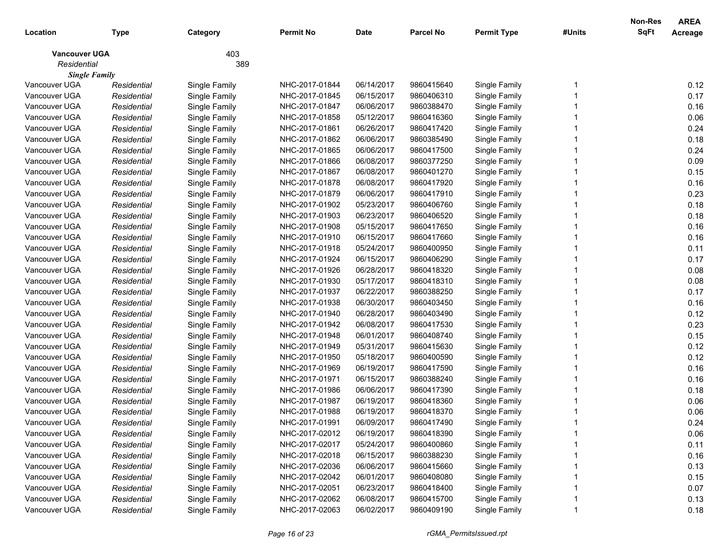|                      |             |               |                |             |                  |                    |        | Non-Res     | <b>AREA</b> |
|----------------------|-------------|---------------|----------------|-------------|------------------|--------------------|--------|-------------|-------------|
| Location             | Type        | Category      | Permit No      | <b>Date</b> | <b>Parcel No</b> | <b>Permit Type</b> | #Units | <b>SqFt</b> | Acreage     |
| <b>Vancouver UGA</b> |             | 403           |                |             |                  |                    |        |             |             |
| Residential          |             | 389           |                |             |                  |                    |        |             |             |
| <b>Single Family</b> |             |               |                |             |                  |                    |        |             |             |
| Vancouver UGA        | Residential | Single Family | NHC-2017-01844 | 06/14/2017  | 9860415640       | Single Family      |        |             | 0.12        |
| Vancouver UGA        | Residential | Single Family | NHC-2017-01845 | 06/15/2017  | 9860406310       | Single Family      |        |             | 0.17        |
| Vancouver UGA        | Residential | Single Family | NHC-2017-01847 | 06/06/2017  | 9860388470       | Single Family      |        |             | 0.16        |
| Vancouver UGA        | Residential | Single Family | NHC-2017-01858 | 05/12/2017  | 9860416360       | Single Family      |        |             | 0.06        |
| Vancouver UGA        | Residential | Single Family | NHC-2017-01861 | 06/26/2017  | 9860417420       | Single Family      |        |             | 0.24        |
| Vancouver UGA        | Residential | Single Family | NHC-2017-01862 | 06/06/2017  | 9860385490       | Single Family      |        |             | 0.18        |
| Vancouver UGA        | Residential | Single Family | NHC-2017-01865 | 06/06/2017  | 9860417500       | Single Family      |        |             | 0.24        |
| Vancouver UGA        | Residential | Single Family | NHC-2017-01866 | 06/08/2017  | 9860377250       | Single Family      |        |             | 0.09        |
| Vancouver UGA        | Residential | Single Family | NHC-2017-01867 | 06/08/2017  | 9860401270       | Single Family      |        |             | 0.15        |
| Vancouver UGA        | Residential | Single Family | NHC-2017-01878 | 06/08/2017  | 9860417920       | Single Family      |        |             | 0.16        |
| Vancouver UGA        | Residential | Single Family | NHC-2017-01879 | 06/06/2017  | 9860417910       | Single Family      |        |             | 0.23        |
| Vancouver UGA        | Residential | Single Family | NHC-2017-01902 | 05/23/2017  | 9860406760       | Single Family      |        |             | 0.18        |
| Vancouver UGA        | Residential | Single Family | NHC-2017-01903 | 06/23/2017  | 9860406520       | Single Family      |        |             | 0.18        |
| Vancouver UGA        | Residential | Single Family | NHC-2017-01908 | 05/15/2017  | 9860417650       | Single Family      |        |             | 0.16        |
| Vancouver UGA        | Residential | Single Family | NHC-2017-01910 | 06/15/2017  | 9860417660       | Single Family      |        |             | 0.16        |
| Vancouver UGA        | Residential | Single Family | NHC-2017-01918 | 05/24/2017  | 9860400950       | Single Family      |        |             | 0.11        |
| Vancouver UGA        | Residential | Single Family | NHC-2017-01924 | 06/15/2017  | 9860406290       | Single Family      |        |             | 0.17        |
| Vancouver UGA        | Residential | Single Family | NHC-2017-01926 | 06/28/2017  | 9860418320       | Single Family      |        |             | 0.08        |
| Vancouver UGA        | Residential | Single Family | NHC-2017-01930 | 05/17/2017  | 9860418310       | Single Family      |        |             | 0.08        |
| Vancouver UGA        | Residential | Single Family | NHC-2017-01937 | 06/22/2017  | 9860388250       | Single Family      |        |             | 0.17        |
| Vancouver UGA        | Residential | Single Family | NHC-2017-01938 | 06/30/2017  | 9860403450       | Single Family      |        |             | 0.16        |
| Vancouver UGA        | Residential | Single Family | NHC-2017-01940 | 06/28/2017  | 9860403490       | Single Family      |        |             | 0.12        |
| Vancouver UGA        | Residential | Single Family | NHC-2017-01942 | 06/08/2017  | 9860417530       | Single Family      |        |             | 0.23        |
| Vancouver UGA        | Residential | Single Family | NHC-2017-01948 | 06/01/2017  | 9860408740       | Single Family      |        |             | 0.15        |
| Vancouver UGA        | Residential | Single Family | NHC-2017-01949 | 05/31/2017  | 9860415630       | Single Family      |        |             | 0.12        |
| Vancouver UGA        | Residential | Single Family | NHC-2017-01950 | 05/18/2017  | 9860400590       | Single Family      |        |             | 0.12        |
| Vancouver UGA        | Residential | Single Family | NHC-2017-01969 | 06/19/2017  | 9860417590       | Single Family      |        |             | 0.16        |
| Vancouver UGA        | Residential | Single Family | NHC-2017-01971 | 06/15/2017  | 9860388240       | Single Family      |        |             | 0.16        |
| Vancouver UGA        | Residential | Single Family | NHC-2017-01986 | 06/06/2017  | 9860417390       | Single Family      |        |             | 0.18        |
| Vancouver UGA        | Residential | Single Family | NHC-2017-01987 | 06/19/2017  | 9860418360       | Single Family      |        |             | 0.06        |
| Vancouver UGA        | Residential | Single Family | NHC-2017-01988 | 06/19/2017  | 9860418370       | Single Family      |        |             | 0.06        |
| Vancouver UGA        | Residential | Single Family | NHC-2017-01991 | 06/09/2017  | 9860417490       | Single Family      |        |             | 0.24        |
| Vancouver UGA        | Residential | Single Family | NHC-2017-02012 | 06/19/2017  | 9860418390       | Single Family      |        |             | 0.06        |
| Vancouver UGA        | Residential | Single Family | NHC-2017-02017 | 05/24/2017  | 9860400860       | Single Family      |        |             | 0.11        |
| Vancouver UGA        | Residential | Single Family | NHC-2017-02018 | 06/15/2017  | 9860388230       | Single Family      |        |             | 0.16        |
| Vancouver UGA        | Residential | Single Family | NHC-2017-02036 | 06/06/2017  | 9860415660       | Single Family      |        |             | 0.13        |
| Vancouver UGA        | Residential | Single Family | NHC-2017-02042 | 06/01/2017  | 9860408080       | Single Family      |        |             | 0.15        |
| Vancouver UGA        | Residential | Single Family | NHC-2017-02051 | 06/23/2017  | 9860418400       | Single Family      |        |             | 0.07        |
| Vancouver UGA        | Residential | Single Family | NHC-2017-02062 | 06/08/2017  | 9860415700       | Single Family      |        |             | 0.13        |
| Vancouver UGA        | Residential | Single Family | NHC-2017-02063 | 06/02/2017  | 9860409190       | Single Family      |        |             | 0.18        |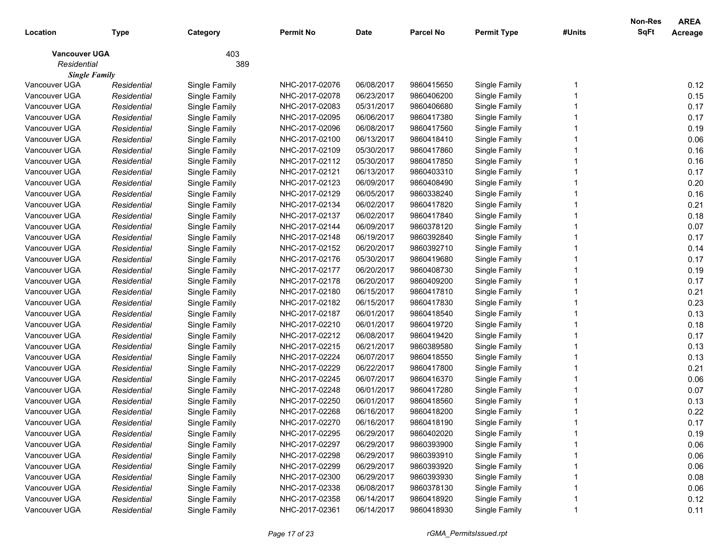|                      |             |               |                |             |                  |                    |        | Non-Res     | <b>AREA</b> |
|----------------------|-------------|---------------|----------------|-------------|------------------|--------------------|--------|-------------|-------------|
| Location             | <b>Type</b> | Category      | Permit No      | <b>Date</b> | <b>Parcel No</b> | <b>Permit Type</b> | #Units | <b>SqFt</b> | Acreage     |
| <b>Vancouver UGA</b> |             | 403           |                |             |                  |                    |        |             |             |
| Residential          |             | 389           |                |             |                  |                    |        |             |             |
| <b>Single Family</b> |             |               |                |             |                  |                    |        |             |             |
| Vancouver UGA        | Residential | Single Family | NHC-2017-02076 | 06/08/2017  | 9860415650       | Single Family      |        |             | 0.12        |
| Vancouver UGA        | Residential | Single Family | NHC-2017-02078 | 06/23/2017  | 9860406200       | Single Family      |        |             | 0.15        |
| Vancouver UGA        | Residential | Single Family | NHC-2017-02083 | 05/31/2017  | 9860406680       | Single Family      |        |             | 0.17        |
| Vancouver UGA        | Residential | Single Family | NHC-2017-02095 | 06/06/2017  | 9860417380       | Single Family      |        |             | 0.17        |
| Vancouver UGA        | Residential | Single Family | NHC-2017-02096 | 06/08/2017  | 9860417560       | Single Family      |        |             | 0.19        |
| Vancouver UGA        | Residential | Single Family | NHC-2017-02100 | 06/13/2017  | 9860418410       | Single Family      |        |             | 0.06        |
| Vancouver UGA        | Residential | Single Family | NHC-2017-02109 | 05/30/2017  | 9860417860       | Single Family      |        |             | 0.16        |
| Vancouver UGA        | Residential | Single Family | NHC-2017-02112 | 05/30/2017  | 9860417850       | Single Family      |        |             | 0.16        |
| Vancouver UGA        | Residential | Single Family | NHC-2017-02121 | 06/13/2017  | 9860403310       | Single Family      |        |             | 0.17        |
| Vancouver UGA        | Residential | Single Family | NHC-2017-02123 | 06/09/2017  | 9860408490       | Single Family      |        |             | 0.20        |
| Vancouver UGA        | Residential | Single Family | NHC-2017-02129 | 06/05/2017  | 9860338240       | Single Family      |        |             | 0.16        |
| Vancouver UGA        | Residential | Single Family | NHC-2017-02134 | 06/02/2017  | 9860417820       | Single Family      |        |             | 0.21        |
| Vancouver UGA        | Residential | Single Family | NHC-2017-02137 | 06/02/2017  | 9860417840       | Single Family      |        |             | 0.18        |
| Vancouver UGA        | Residential | Single Family | NHC-2017-02144 | 06/09/2017  | 9860378120       | Single Family      |        |             | 0.07        |
| Vancouver UGA        | Residential | Single Family | NHC-2017-02148 | 06/19/2017  | 9860392840       | Single Family      |        |             | 0.17        |
| Vancouver UGA        | Residential | Single Family | NHC-2017-02152 | 06/20/2017  | 9860392710       | Single Family      |        |             | 0.14        |
| Vancouver UGA        | Residential | Single Family | NHC-2017-02176 | 05/30/2017  | 9860419680       | Single Family      |        |             | 0.17        |
| Vancouver UGA        | Residential | Single Family | NHC-2017-02177 | 06/20/2017  | 9860408730       | Single Family      |        |             | 0.19        |
| Vancouver UGA        | Residential | Single Family | NHC-2017-02178 | 06/20/2017  | 9860409200       | Single Family      |        |             | 0.17        |
| Vancouver UGA        | Residential | Single Family | NHC-2017-02180 | 06/15/2017  | 9860417810       | Single Family      |        |             | 0.21        |
| Vancouver UGA        | Residential | Single Family | NHC-2017-02182 | 06/15/2017  | 9860417830       | Single Family      |        |             | 0.23        |
| Vancouver UGA        | Residential | Single Family | NHC-2017-02187 | 06/01/2017  | 9860418540       | Single Family      |        |             | 0.13        |
| Vancouver UGA        | Residential | Single Family | NHC-2017-02210 | 06/01/2017  | 9860419720       | Single Family      |        |             | 0.18        |
| Vancouver UGA        | Residential | Single Family | NHC-2017-02212 | 06/08/2017  | 9860419420       | Single Family      |        |             | 0.17        |
| Vancouver UGA        | Residential | Single Family | NHC-2017-02215 | 06/21/2017  | 9860389580       | Single Family      |        |             | 0.13        |
| Vancouver UGA        | Residential | Single Family | NHC-2017-02224 | 06/07/2017  | 9860418550       | Single Family      |        |             | 0.13        |
| Vancouver UGA        | Residential | Single Family | NHC-2017-02229 | 06/22/2017  | 9860417800       | Single Family      |        |             | 0.21        |
| Vancouver UGA        | Residential | Single Family | NHC-2017-02245 | 06/07/2017  | 9860416370       | Single Family      |        |             | 0.06        |
| Vancouver UGA        | Residential | Single Family | NHC-2017-02248 | 06/01/2017  | 9860417280       | Single Family      |        |             | 0.07        |
| Vancouver UGA        | Residential | Single Family | NHC-2017-02250 | 06/01/2017  | 9860418560       | Single Family      |        |             | 0.13        |
| Vancouver UGA        | Residential | Single Family | NHC-2017-02268 | 06/16/2017  | 9860418200       | Single Family      |        |             | 0.22        |
| Vancouver UGA        | Residential | Single Family | NHC-2017-02270 | 06/16/2017  | 9860418190       | Single Family      |        |             | 0.17        |
| Vancouver UGA        | Residential | Single Family | NHC-2017-02295 | 06/29/2017  | 9860402020       | Single Family      |        |             | 0.19        |
| Vancouver UGA        | Residential | Single Family | NHC-2017-02297 | 06/29/2017  | 9860393900       | Single Family      |        |             | 0.06        |
| Vancouver UGA        | Residential | Single Family | NHC-2017-02298 | 06/29/2017  | 9860393910       | Single Family      |        |             | 0.06        |
| Vancouver UGA        | Residential | Single Family | NHC-2017-02299 | 06/29/2017  | 9860393920       | Single Family      |        |             | 0.06        |
| Vancouver UGA        | Residential | Single Family | NHC-2017-02300 | 06/29/2017  | 9860393930       | Single Family      |        |             | 0.08        |
| Vancouver UGA        | Residential | Single Family | NHC-2017-02338 | 06/08/2017  | 9860378130       | Single Family      |        |             | 0.06        |
| Vancouver UGA        | Residential | Single Family | NHC-2017-02358 | 06/14/2017  | 9860418920       | Single Family      |        |             | 0.12        |
| Vancouver UGA        | Residential | Single Family | NHC-2017-02361 | 06/14/2017  | 9860418930       | Single Family      |        |             | 0.11        |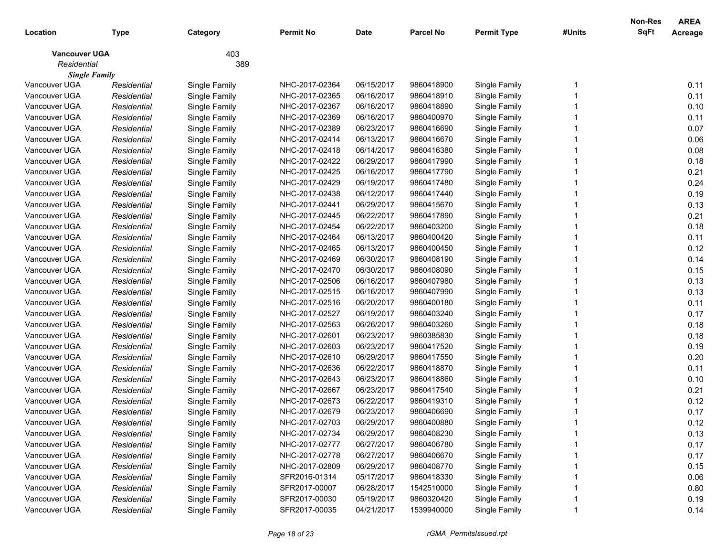|                      |             |               |                |             |                  |                    |        | Non-Res     | <b>AREA</b> |
|----------------------|-------------|---------------|----------------|-------------|------------------|--------------------|--------|-------------|-------------|
| Location             | Type        | Category      | Permit No      | <b>Date</b> | <b>Parcel No</b> | <b>Permit Type</b> | #Units | <b>SqFt</b> | Acreage     |
| <b>Vancouver UGA</b> |             | 403           |                |             |                  |                    |        |             |             |
| Residential          |             | 389           |                |             |                  |                    |        |             |             |
| <b>Single Family</b> |             |               |                |             |                  |                    |        |             |             |
| Vancouver UGA        | Residential | Single Family | NHC-2017-02364 | 06/15/2017  | 9860418900       | Single Family      |        |             | 0.11        |
| Vancouver UGA        | Residential | Single Family | NHC-2017-02365 | 06/16/2017  | 9860418910       | Single Family      |        |             | 0.11        |
| Vancouver UGA        | Residential | Single Family | NHC-2017-02367 | 06/16/2017  | 9860418890       | Single Family      |        |             | 0.10        |
| Vancouver UGA        | Residential | Single Family | NHC-2017-02369 | 06/16/2017  | 9860400970       | Single Family      |        |             | 0.11        |
| Vancouver UGA        | Residential | Single Family | NHC-2017-02389 | 06/23/2017  | 9860416690       | Single Family      |        |             | 0.07        |
| Vancouver UGA        | Residential | Single Family | NHC-2017-02414 | 06/13/2017  | 9860416670       | Single Family      |        |             | 0.06        |
| Vancouver UGA        | Residential | Single Family | NHC-2017-02418 | 06/14/2017  | 9860416380       | Single Family      |        |             | 0.08        |
| Vancouver UGA        | Residential | Single Family | NHC-2017-02422 | 06/29/2017  | 9860417990       | Single Family      |        |             | 0.18        |
| Vancouver UGA        | Residential | Single Family | NHC-2017-02425 | 06/16/2017  | 9860417790       | Single Family      |        |             | 0.21        |
| Vancouver UGA        | Residential | Single Family | NHC-2017-02429 | 06/19/2017  | 9860417480       | Single Family      |        |             | 0.24        |
| Vancouver UGA        | Residential | Single Family | NHC-2017-02438 | 06/12/2017  | 9860417440       | Single Family      |        |             | 0.19        |
| Vancouver UGA        | Residential | Single Family | NHC-2017-02441 | 06/29/2017  | 9860415670       | Single Family      |        |             | 0.13        |
| Vancouver UGA        | Residential | Single Family | NHC-2017-02445 | 06/22/2017  | 9860417890       | Single Family      |        |             | 0.21        |
| Vancouver UGA        | Residential | Single Family | NHC-2017-02454 | 06/22/2017  | 9860403200       | Single Family      |        |             | 0.18        |
| Vancouver UGA        | Residential | Single Family | NHC-2017-02464 | 06/13/2017  | 9860400420       | Single Family      |        |             | 0.11        |
| Vancouver UGA        | Residential | Single Family | NHC-2017-02465 | 06/13/2017  | 9860400450       | Single Family      |        |             | 0.12        |
| Vancouver UGA        | Residential | Single Family | NHC-2017-02469 | 06/30/2017  | 9860408190       | Single Family      |        |             | 0.14        |
| Vancouver UGA        | Residential | Single Family | NHC-2017-02470 | 06/30/2017  | 9860408090       | Single Family      |        |             | 0.15        |
| Vancouver UGA        | Residential | Single Family | NHC-2017-02506 | 06/16/2017  | 9860407980       | Single Family      |        |             | 0.13        |
| Vancouver UGA        | Residential | Single Family | NHC-2017-02515 | 06/16/2017  | 9860407990       | Single Family      |        |             | 0.13        |
| Vancouver UGA        | Residential | Single Family | NHC-2017-02516 | 06/20/2017  | 9860400180       | Single Family      |        |             | 0.11        |
| Vancouver UGA        | Residential | Single Family | NHC-2017-02527 | 06/19/2017  | 9860403240       | Single Family      |        |             | 0.17        |
| Vancouver UGA        | Residential | Single Family | NHC-2017-02563 | 06/26/2017  | 9860403260       | Single Family      |        |             | 0.18        |
| Vancouver UGA        | Residential | Single Family | NHC-2017-02601 | 06/23/2017  | 9860385830       | Single Family      |        |             | 0.18        |
| Vancouver UGA        | Residential | Single Family | NHC-2017-02603 | 06/23/2017  | 9860417520       | Single Family      |        |             | 0.19        |
| Vancouver UGA        | Residential | Single Family | NHC-2017-02610 | 06/29/2017  | 9860417550       | Single Family      |        |             | 0.20        |
| Vancouver UGA        | Residential | Single Family | NHC-2017-02636 | 06/22/2017  | 9860418870       | Single Family      |        |             | 0.11        |
| Vancouver UGA        | Residential | Single Family | NHC-2017-02643 | 06/23/2017  | 9860418860       | Single Family      |        |             | 0.10        |
| Vancouver UGA        | Residential | Single Family | NHC-2017-02667 | 06/23/2017  | 9860417540       | Single Family      |        |             | 0.21        |
| Vancouver UGA        | Residential | Single Family | NHC-2017-02673 | 06/22/2017  | 9860419310       | Single Family      |        |             | 0.12        |
| Vancouver UGA        | Residential | Single Family | NHC-2017-02679 | 06/23/2017  | 9860406690       | Single Family      |        |             | 0.17        |
| Vancouver UGA        | Residential | Single Family | NHC-2017-02703 | 06/29/2017  | 9860400880       | Single Family      |        |             | 0.12        |
| Vancouver UGA        | Residential | Single Family | NHC-2017-02734 | 06/29/2017  | 9860408230       | Single Family      |        |             | 0.13        |
| Vancouver UGA        | Residential | Single Family | NHC-2017-02777 | 06/27/2017  | 9860406780       | Single Family      |        |             | 0.17        |
| Vancouver UGA        | Residential | Single Family | NHC-2017-02778 | 06/27/2017  | 9860406670       | Single Family      |        |             | 0.17        |
| Vancouver UGA        | Residential | Single Family | NHC-2017-02809 | 06/29/2017  | 9860408770       | Single Family      |        |             | 0.15        |
| Vancouver UGA        | Residential | Single Family | SFR2016-01314  | 05/17/2017  | 9860418330       | Single Family      |        |             | 0.06        |
| Vancouver UGA        | Residential | Single Family | SFR2017-00007  | 06/28/2017  | 1542510000       | Single Family      |        |             | 0.80        |
| Vancouver UGA        | Residential | Single Family | SFR2017-00030  | 05/19/2017  | 9860320420       | Single Family      |        |             | 0.19        |
| Vancouver UGA        | Residential | Single Family | SFR2017-00035  | 04/21/2017  | 1539940000       | Single Family      |        |             | 0.14        |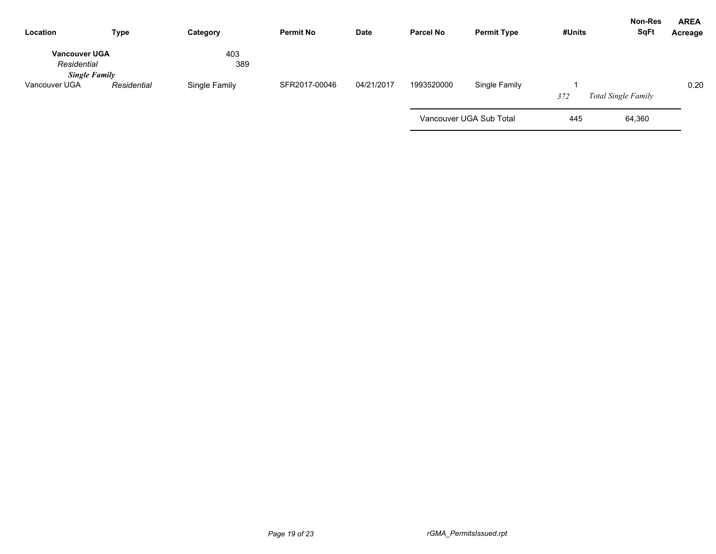| Location                              | <b>Type</b> | Category      | <b>Permit No</b> | <b>Date</b> | <b>Parcel No</b> | <b>Permit Type</b>      | #Units | <b>Non-Res</b><br><b>SqFt</b> | <b>AREA</b><br>Acreage |
|---------------------------------------|-------------|---------------|------------------|-------------|------------------|-------------------------|--------|-------------------------------|------------------------|
| <b>Vancouver UGA</b><br>Residential   |             | 403<br>389    |                  |             |                  |                         |        |                               |                        |
| <b>Single Family</b><br>Vancouver UGA | Residential | Single Family | SFR2017-00046    | 04/21/2017  | 1993520000       | Single Family           | 372    | <b>Total Single Family</b>    | 0.20                   |
|                                       |             |               |                  |             |                  | Vancouver UGA Sub Total | 445    | 64,360                        |                        |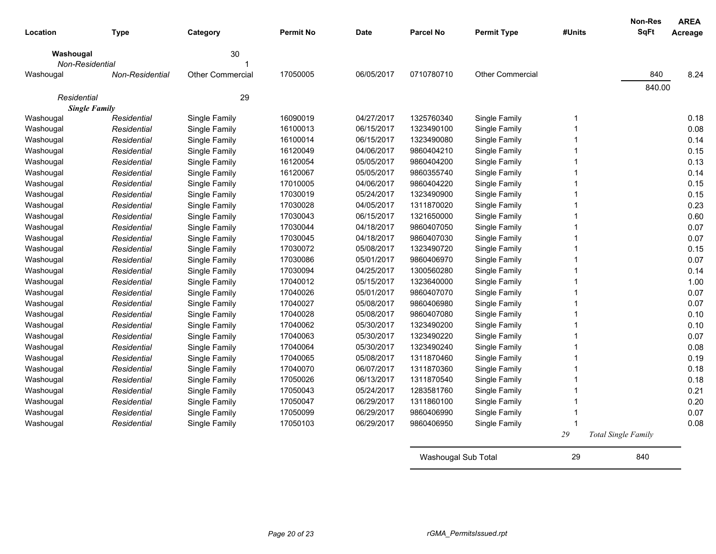| Location                            | <b>Type</b>            | Category                | <b>Permit No</b> | <b>Date</b> | <b>Parcel No</b>    | <b>Permit Type</b>      | #Units         | Non-Res<br><b>SqFt</b> | <b>AREA</b><br>Acreage |
|-------------------------------------|------------------------|-------------------------|------------------|-------------|---------------------|-------------------------|----------------|------------------------|------------------------|
| Washougal                           |                        | 30                      |                  |             |                     |                         |                |                        |                        |
| Non-Residential                     |                        |                         |                  |             |                     |                         |                |                        |                        |
| Washougal                           | <b>Non-Residential</b> | <b>Other Commercial</b> | 17050005         | 06/05/2017  | 0710780710          | <b>Other Commercial</b> |                | 840                    | 8.24                   |
| Residential<br><b>Single Family</b> |                        | 29                      |                  |             |                     |                         |                | 840.00                 |                        |
| Washougal                           | Residential            | Single Family           | 16090019         | 04/27/2017  | 1325760340          | Single Family           | $\overline{1}$ |                        | 0.18                   |
| Washougal                           | Residential            | Single Family           | 16100013         | 06/15/2017  | 1323490100          | Single Family           | $\overline{1}$ |                        | 0.08                   |
| Washougal                           | Residential            | Single Family           | 16100014         | 06/15/2017  | 1323490080          | Single Family           | $\overline{1}$ |                        | 0.14                   |
| Washougal                           | Residential            | Single Family           | 16120049         | 04/06/2017  | 9860404210          | Single Family           | $\overline{1}$ |                        | 0.15                   |
| Washougal                           | Residential            | Single Family           | 16120054         | 05/05/2017  | 9860404200          | Single Family           | $\mathbf 1$    |                        | 0.13                   |
| Washougal                           | Residential            | Single Family           | 16120067         | 05/05/2017  | 9860355740          | Single Family           | $\overline{1}$ |                        | 0.14                   |
| Washougal                           | Residential            | Single Family           | 17010005         | 04/06/2017  | 9860404220          | Single Family           | 1              |                        | 0.15                   |
| Washougal                           | Residential            | Single Family           | 17030019         | 05/24/2017  | 1323490900          | Single Family           | 1              |                        | 0.15                   |
| Washougal                           | Residential            | Single Family           | 17030028         | 04/05/2017  | 1311870020          | Single Family           | $\overline{1}$ |                        | 0.23                   |
| Washougal                           | Residential            | Single Family           | 17030043         | 06/15/2017  | 1321650000          | Single Family           | $\overline{1}$ |                        | 0.60                   |
| Washougal                           | Residential            | Single Family           | 17030044         | 04/18/2017  | 9860407050          | Single Family           | $\overline{1}$ |                        | 0.07                   |
| Washougal                           | Residential            | Single Family           | 17030045         | 04/18/2017  | 9860407030          | Single Family           | $\overline{1}$ |                        | 0.07                   |
| Washougal                           | Residential            | Single Family           | 17030072         | 05/08/2017  | 1323490720          | Single Family           | $\mathbf 1$    |                        | 0.15                   |
| Washougal                           | Residential            | Single Family           | 17030086         | 05/01/2017  | 9860406970          | Single Family           | $\mathbf 1$    |                        | 0.07                   |
| Washougal                           | Residential            | Single Family           | 17030094         | 04/25/2017  | 1300560280          | Single Family           | $\overline{1}$ |                        | 0.14                   |
| Washougal                           | Residential            | Single Family           | 17040012         | 05/15/2017  | 1323640000          | Single Family           | $\overline{1}$ |                        | 1.00                   |
| Washougal                           | Residential            | Single Family           | 17040026         | 05/01/2017  | 9860407070          | Single Family           | $\overline{1}$ |                        | 0.07                   |
| Washougal                           | Residential            | Single Family           | 17040027         | 05/08/2017  | 9860406980          | Single Family           | 1              |                        | 0.07                   |
| Washougal                           | Residential            | Single Family           | 17040028         | 05/08/2017  | 9860407080          | Single Family           | 1              |                        | 0.10                   |
| Washougal                           | Residential            | Single Family           | 17040062         | 05/30/2017  | 1323490200          | Single Family           | $\mathbf 1$    |                        | 0.10                   |
| Washougal                           | Residential            | Single Family           | 17040063         | 05/30/2017  | 1323490220          | Single Family           | $\overline{1}$ |                        | 0.07                   |
| Washougal                           | Residential            | Single Family           | 17040064         | 05/30/2017  | 1323490240          | Single Family           | $\overline{1}$ |                        | 0.08                   |
| Washougal                           | Residential            | Single Family           | 17040065         | 05/08/2017  | 1311870460          | Single Family           | $\overline{1}$ |                        | 0.19                   |
| Washougal                           | Residential            | Single Family           | 17040070         | 06/07/2017  | 1311870360          | Single Family           | 1              |                        | 0.18                   |
| Washougal                           | Residential            | Single Family           | 17050026         | 06/13/2017  | 1311870540          | Single Family           | 1              |                        | 0.18                   |
| Washougal                           | Residential            | Single Family           | 17050043         | 05/24/2017  | 1283581760          | Single Family           | $\overline{1}$ |                        | 0.21                   |
| Washougal                           | Residential            | Single Family           | 17050047         | 06/29/2017  | 1311860100          | Single Family           | $\overline{1}$ |                        | 0.20                   |
| Washougal                           | Residential            | Single Family           | 17050099         | 06/29/2017  | 9860406990          | Single Family           | $\mathbf 1$    |                        | 0.07                   |
| Washougal                           | Residential            | Single Family           | 17050103         | 06/29/2017  | 9860406950          | Single Family           | $\overline{1}$ |                        | 0.08                   |
|                                     |                        |                         |                  |             |                     |                         | 29             | Total Single Family    |                        |
|                                     |                        |                         |                  |             | Washougal Sub Total |                         | 29             | 840                    |                        |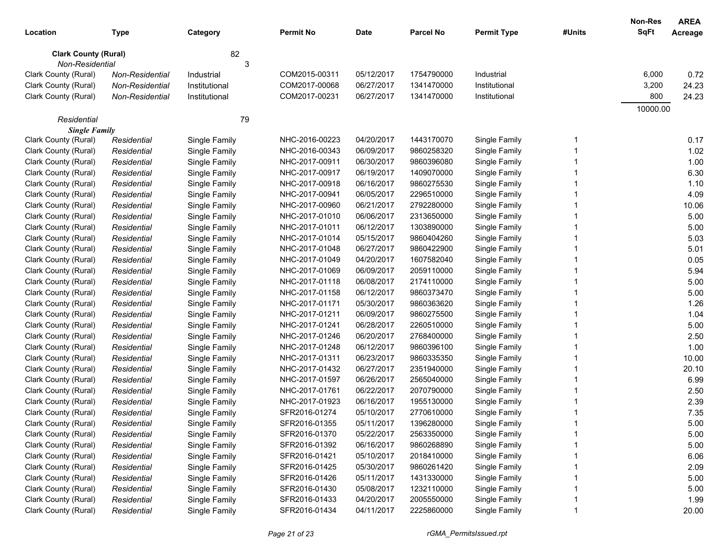| Location                                       | Type            | Category      | <b>Permit No</b> | <b>Date</b> | <b>Parcel No</b> | <b>Permit Type</b> | #Units | <b>Non-Res</b><br><b>SqFt</b> | <b>AREA</b><br>Acreage |
|------------------------------------------------|-----------------|---------------|------------------|-------------|------------------|--------------------|--------|-------------------------------|------------------------|
|                                                |                 |               |                  |             |                  |                    |        |                               |                        |
| <b>Clark County (Rural)</b><br>Non-Residential |                 | 82<br>3       |                  |             |                  |                    |        |                               |                        |
| Clark County (Rural)                           | Non-Residential | Industrial    | COM2015-00311    | 05/12/2017  | 1754790000       | Industrial         |        | 6,000                         | 0.72                   |
| Clark County (Rural)                           | Non-Residential | Institutional | COM2017-00068    | 06/27/2017  | 1341470000       | Institutional      |        | 3,200                         | 24.23                  |
| Clark County (Rural)                           | Non-Residential | Institutional | COM2017-00231    | 06/27/2017  | 1341470000       | Institutional      |        | 800                           | 24.23                  |
|                                                |                 |               |                  |             |                  |                    |        | 10000.00                      |                        |
| Residential                                    |                 | 79            |                  |             |                  |                    |        |                               |                        |
| <b>Single Family</b>                           |                 |               |                  |             |                  |                    |        |                               |                        |
| Clark County (Rural)                           | Residential     | Single Family | NHC-2016-00223   | 04/20/2017  | 1443170070       | Single Family      | -1     |                               | 0.17                   |
| Clark County (Rural)                           | Residential     | Single Family | NHC-2016-00343   | 06/09/2017  | 9860258320       | Single Family      |        |                               | 1.02                   |
| Clark County (Rural)                           | Residential     | Single Family | NHC-2017-00911   | 06/30/2017  | 9860396080       | Single Family      |        |                               | 1.00                   |
| Clark County (Rural)                           | Residential     | Single Family | NHC-2017-00917   | 06/19/2017  | 1409070000       | Single Family      |        |                               | 6.30                   |
| Clark County (Rural)                           | Residential     | Single Family | NHC-2017-00918   | 06/16/2017  | 9860275530       | Single Family      |        |                               | 1.10                   |
| Clark County (Rural)                           | Residential     | Single Family | NHC-2017-00941   | 06/05/2017  | 2296510000       | Single Family      |        |                               | 4.09                   |
| Clark County (Rural)                           | Residential     | Single Family | NHC-2017-00960   | 06/21/2017  | 2792280000       | Single Family      |        |                               | 10.06                  |
| Clark County (Rural)                           | Residential     | Single Family | NHC-2017-01010   | 06/06/2017  | 2313650000       | Single Family      |        |                               | 5.00                   |
| Clark County (Rural)                           | Residential     | Single Family | NHC-2017-01011   | 06/12/2017  | 1303890000       | Single Family      |        |                               | 5.00                   |
| Clark County (Rural)                           | Residential     | Single Family | NHC-2017-01014   | 05/15/2017  | 9860404260       | Single Family      |        |                               | 5.03                   |
| Clark County (Rural)                           | Residential     | Single Family | NHC-2017-01048   | 06/27/2017  | 9860422900       | Single Family      |        |                               | 5.01                   |
| Clark County (Rural)                           | Residential     | Single Family | NHC-2017-01049   | 04/20/2017  | 1607582040       | Single Family      |        |                               | 0.05                   |
| Clark County (Rural)                           | Residential     | Single Family | NHC-2017-01069   | 06/09/2017  | 2059110000       | Single Family      |        |                               | 5.94                   |
| Clark County (Rural)                           | Residential     | Single Family | NHC-2017-01118   | 06/08/2017  | 2174110000       | Single Family      |        |                               | 5.00                   |
| Clark County (Rural)                           | Residential     | Single Family | NHC-2017-01158   | 06/12/2017  | 9860373470       | Single Family      |        |                               | 5.00                   |
| Clark County (Rural)                           | Residential     | Single Family | NHC-2017-01171   | 05/30/2017  | 9860363620       | Single Family      |        |                               | 1.26                   |
| Clark County (Rural)                           | Residential     | Single Family | NHC-2017-01211   | 06/09/2017  | 9860275500       | Single Family      |        |                               | 1.04                   |
| Clark County (Rural)                           | Residential     | Single Family | NHC-2017-01241   | 06/28/2017  | 2260510000       | Single Family      |        |                               | 5.00                   |
| Clark County (Rural)                           | Residential     | Single Family | NHC-2017-01246   | 06/20/2017  | 2768400000       | Single Family      |        |                               | 2.50                   |
| Clark County (Rural)                           | Residential     | Single Family | NHC-2017-01248   | 06/12/2017  | 9860396100       | Single Family      |        |                               | 1.00                   |
| Clark County (Rural)                           | Residential     | Single Family | NHC-2017-01311   | 06/23/2017  | 9860335350       | Single Family      |        |                               | 10.00                  |
| Clark County (Rural)                           | Residential     | Single Family | NHC-2017-01432   | 06/27/2017  | 2351940000       | Single Family      |        |                               | 20.10                  |
| Clark County (Rural)                           | Residential     | Single Family | NHC-2017-01597   | 06/26/2017  | 2565040000       | Single Family      |        |                               | 6.99                   |
| Clark County (Rural)                           | Residential     | Single Family | NHC-2017-01761   | 06/22/2017  | 2070790000       | Single Family      |        |                               | 2.50                   |
| Clark County (Rural)                           | Residential     | Single Family | NHC-2017-01923   | 06/16/2017  | 1955130000       | Single Family      |        |                               | 2.39                   |
| Clark County (Rural)                           | Residential     | Single Family | SFR2016-01274    | 05/10/2017  | 2770610000       | Single Family      |        |                               | 7.35                   |
| Clark County (Rural)                           | Residential     | Single Family | SFR2016-01355    | 05/11/2017  | 1396280000       | Single Family      |        |                               | 5.00                   |
| Clark County (Rural)                           | Residential     | Single Family | SFR2016-01370    | 05/22/2017  | 2563350000       | Single Family      |        |                               | 5.00                   |
| Clark County (Rural)                           | Residential     | Single Family | SFR2016-01392    | 06/16/2017  | 9860268890       | Single Family      |        |                               | 5.00                   |
| Clark County (Rural)                           | Residential     | Single Family | SFR2016-01421    | 05/10/2017  | 2018410000       | Single Family      |        |                               | 6.06                   |
| Clark County (Rural)                           | Residential     | Single Family | SFR2016-01425    | 05/30/2017  | 9860261420       | Single Family      |        |                               | 2.09                   |
| Clark County (Rural)                           | Residential     | Single Family | SFR2016-01426    | 05/11/2017  | 1431330000       | Single Family      |        |                               | 5.00                   |
| Clark County (Rural)                           | Residential     | Single Family | SFR2016-01430    | 05/08/2017  | 1232110000       | Single Family      |        |                               | 5.00                   |
| Clark County (Rural)                           | Residential     | Single Family | SFR2016-01433    | 04/20/2017  | 2005550000       | Single Family      |        |                               | 1.99                   |
| Clark County (Rural)                           | Residential     | Single Family | SFR2016-01434    | 04/11/2017  | 2225860000       | Single Family      |        |                               | 20.00                  |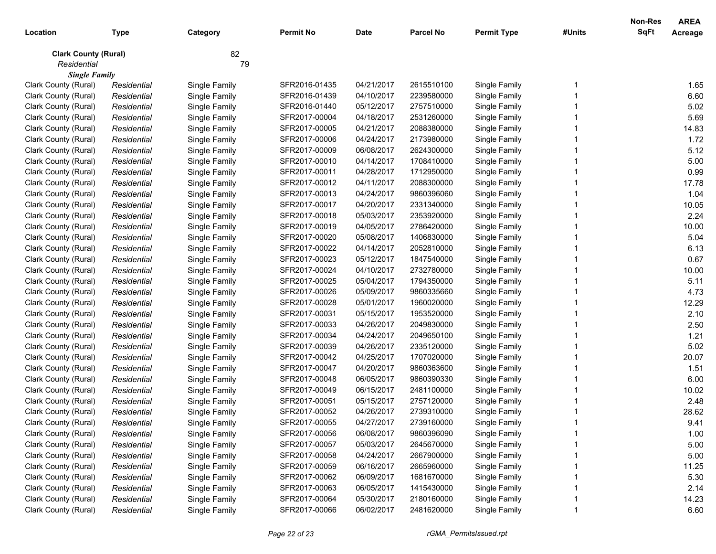| Location                    | <b>Type</b> | Category      | <b>Permit No</b> | <b>Date</b> | <b>Parcel No</b> | <b>Permit Type</b> | #Units | <b>Non-Res</b><br><b>SqFt</b> | <b>AREA</b><br>Acreage |
|-----------------------------|-------------|---------------|------------------|-------------|------------------|--------------------|--------|-------------------------------|------------------------|
| <b>Clark County (Rural)</b> |             | 82            |                  |             |                  |                    |        |                               |                        |
| Residential                 |             | 79            |                  |             |                  |                    |        |                               |                        |
| <b>Single Family</b>        |             |               |                  |             |                  |                    |        |                               |                        |
| Clark County (Rural)        | Residential | Single Family | SFR2016-01435    | 04/21/2017  | 2615510100       | Single Family      |        |                               | 1.65                   |
| Clark County (Rural)        | Residential | Single Family | SFR2016-01439    | 04/10/2017  | 2239580000       | Single Family      |        |                               | 6.60                   |
| Clark County (Rural)        | Residential | Single Family | SFR2016-01440    | 05/12/2017  | 2757510000       | Single Family      |        |                               | 5.02                   |
| Clark County (Rural)        | Residential | Single Family | SFR2017-00004    | 04/18/2017  | 2531260000       | Single Family      |        |                               | 5.69                   |
| Clark County (Rural)        | Residential | Single Family | SFR2017-00005    | 04/21/2017  | 2088380000       | Single Family      |        |                               | 14.83                  |
| Clark County (Rural)        | Residential | Single Family | SFR2017-00006    | 04/24/2017  | 2173980000       | Single Family      |        |                               | 1.72                   |
| Clark County (Rural)        | Residential | Single Family | SFR2017-00009    | 06/08/2017  | 2624300000       | Single Family      |        |                               | 5.12                   |
| Clark County (Rural)        | Residential | Single Family | SFR2017-00010    | 04/14/2017  | 1708410000       | Single Family      |        |                               | 5.00                   |
| Clark County (Rural)        | Residential | Single Family | SFR2017-00011    | 04/28/2017  | 1712950000       | Single Family      |        |                               | 0.99                   |
| Clark County (Rural)        | Residential | Single Family | SFR2017-00012    | 04/11/2017  | 2088300000       | Single Family      |        |                               | 17.78                  |
| Clark County (Rural)        | Residential | Single Family | SFR2017-00013    | 04/24/2017  | 9860396060       | Single Family      |        |                               | 1.04                   |
| Clark County (Rural)        | Residential | Single Family | SFR2017-00017    | 04/20/2017  | 2331340000       | Single Family      |        |                               | 10.05                  |
| Clark County (Rural)        | Residential | Single Family | SFR2017-00018    | 05/03/2017  | 2353920000       | Single Family      |        |                               | 2.24                   |
| Clark County (Rural)        | Residential | Single Family | SFR2017-00019    | 04/05/2017  | 2786420000       | Single Family      |        |                               | 10.00                  |
| Clark County (Rural)        | Residential | Single Family | SFR2017-00020    | 05/08/2017  | 1406830000       | Single Family      |        |                               | 5.04                   |
| Clark County (Rural)        | Residential | Single Family | SFR2017-00022    | 04/14/2017  | 2052810000       | Single Family      |        |                               | 6.13                   |
| Clark County (Rural)        | Residential | Single Family | SFR2017-00023    | 05/12/2017  | 1847540000       | Single Family      |        |                               | 0.67                   |
| Clark County (Rural)        | Residential | Single Family | SFR2017-00024    | 04/10/2017  | 2732780000       | Single Family      |        |                               | 10.00                  |
| Clark County (Rural)        | Residential | Single Family | SFR2017-00025    | 05/04/2017  | 1794350000       | Single Family      |        |                               | 5.11                   |
| Clark County (Rural)        | Residential | Single Family | SFR2017-00026    | 05/09/2017  | 9860335660       | Single Family      |        |                               | 4.73                   |
| Clark County (Rural)        | Residential | Single Family | SFR2017-00028    | 05/01/2017  | 1960020000       | Single Family      |        |                               | 12.29                  |
| Clark County (Rural)        | Residential | Single Family | SFR2017-00031    | 05/15/2017  | 1953520000       | Single Family      |        |                               | 2.10                   |
| Clark County (Rural)        | Residential | Single Family | SFR2017-00033    | 04/26/2017  | 2049830000       | Single Family      |        |                               | 2.50                   |
| Clark County (Rural)        | Residential | Single Family | SFR2017-00034    | 04/24/2017  | 2049650100       | Single Family      |        |                               | 1.21                   |
| Clark County (Rural)        | Residential | Single Family | SFR2017-00039    | 04/26/2017  | 2335120000       | Single Family      |        |                               | 5.02                   |
| Clark County (Rural)        | Residential | Single Family | SFR2017-00042    | 04/25/2017  | 1707020000       | Single Family      |        |                               | 20.07                  |
| Clark County (Rural)        | Residential | Single Family | SFR2017-00047    | 04/20/2017  | 9860363600       | Single Family      |        |                               | 1.51                   |
| Clark County (Rural)        | Residential | Single Family | SFR2017-00048    | 06/05/2017  | 9860390330       | Single Family      |        |                               | 6.00                   |
| Clark County (Rural)        | Residential | Single Family | SFR2017-00049    | 06/15/2017  | 2481100000       | Single Family      |        |                               | 10.02                  |
| Clark County (Rural)        | Residential | Single Family | SFR2017-00051    | 05/15/2017  | 2757120000       | Single Family      |        |                               | 2.48                   |
| Clark County (Rural)        | Residential | Single Family | SFR2017-00052    | 04/26/2017  | 2739310000       | Single Family      |        |                               | 28.62                  |
| Clark County (Rural)        | Residential | Single Family | SFR2017-00055    | 04/27/2017  | 2739160000       | Single Family      |        |                               | 9.41                   |
| Clark County (Rural)        | Residential | Single Family | SFR2017-00056    | 06/08/2017  | 9860396090       | Single Family      |        |                               | 1.00                   |
| Clark County (Rural)        | Residential | Single Family | SFR2017-00057    | 05/03/2017  | 2645670000       | Single Family      |        |                               | 5.00                   |
| Clark County (Rural)        | Residential | Single Family | SFR2017-00058    | 04/24/2017  | 2667900000       | Single Family      |        |                               | 5.00                   |
| Clark County (Rural)        | Residential | Single Family | SFR2017-00059    | 06/16/2017  | 2665960000       | Single Family      |        |                               | 11.25                  |
| Clark County (Rural)        | Residential | Single Family | SFR2017-00062    | 06/09/2017  | 1681670000       | Single Family      |        |                               | 5.30                   |
| Clark County (Rural)        | Residential | Single Family | SFR2017-00063    | 06/05/2017  | 1415430000       | Single Family      |        |                               | 2.14                   |
| Clark County (Rural)        | Residential | Single Family | SFR2017-00064    | 05/30/2017  | 2180160000       | Single Family      |        |                               | 14.23                  |
| Clark County (Rural)        | Residential | Single Family | SFR2017-00066    | 06/02/2017  | 2481620000       | Single Family      |        |                               | 6.60                   |